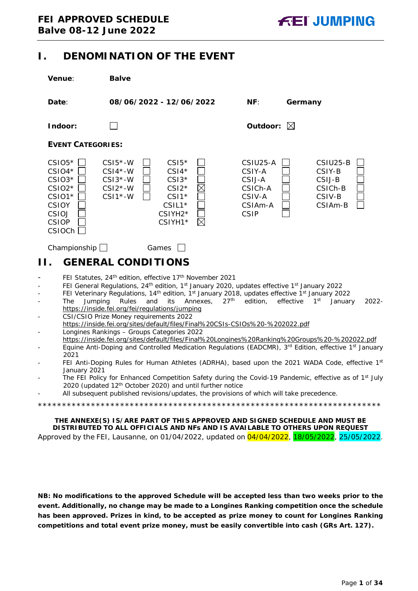# <span id="page-0-0"></span>**I. DENOMINATION OF THE EVENT**

| <b>Venue:</b>                                                                                                    | <b>Balve</b>                                                                                                                                           |                                                                                                                                                                                                                                                                                                                                                                                                                                                                                                                                                                                    |                                                                             |                                                              |                     |
|------------------------------------------------------------------------------------------------------------------|--------------------------------------------------------------------------------------------------------------------------------------------------------|------------------------------------------------------------------------------------------------------------------------------------------------------------------------------------------------------------------------------------------------------------------------------------------------------------------------------------------------------------------------------------------------------------------------------------------------------------------------------------------------------------------------------------------------------------------------------------|-----------------------------------------------------------------------------|--------------------------------------------------------------|---------------------|
| Date:                                                                                                            |                                                                                                                                                        | 08/06/2022 - 12/06/2022                                                                                                                                                                                                                                                                                                                                                                                                                                                                                                                                                            | NF:                                                                         | Germany                                                      |                     |
| Indoor:                                                                                                          |                                                                                                                                                        |                                                                                                                                                                                                                                                                                                                                                                                                                                                                                                                                                                                    | Outdoor: $\boxtimes$                                                        |                                                              |                     |
| <b>EVENT CATEGORIES:</b>                                                                                         |                                                                                                                                                        |                                                                                                                                                                                                                                                                                                                                                                                                                                                                                                                                                                                    |                                                                             |                                                              |                     |
| $CSIO5*$<br>$CSIO4*$<br>$CSIO3*$<br>$CSIO2*$<br>CSIO1*<br><b>CSIOY</b><br>CSIOJ<br><b>CSIOP</b><br><b>CSIOCh</b> | $CSI5*-W$<br>$CSI4*-W$<br>$CSI3*-W$<br>$CSI2*-W$<br>$CSI1*-W$                                                                                          | $CSI5*$<br>$CSI4*$<br>$CSI3*$<br>$\times$<br>$CSI2*$<br>$CSI1*$<br>$CSIL1*$<br>CSIYH <sub>2</sub> *<br>$\boxtimes$<br>CSIYH1*                                                                                                                                                                                                                                                                                                                                                                                                                                                      | CSIU25-A<br>CSIY-A<br>CSIJ-A<br>CSICh-A<br>CSIV-A<br>CSIAm-A<br><b>CSIP</b> | CSIU25-B<br>CSIY-B<br>CSIJ-B<br>CSICh-B<br>CSIV-B<br>CSIAm-B |                     |
| Championship $\Box$<br>Н.                                                                                        | Games<br><b>GENERAL CONDITIONS</b>                                                                                                                     | FEI Statutes, 24th edition, effective 17th November 2021                                                                                                                                                                                                                                                                                                                                                                                                                                                                                                                           |                                                                             |                                                              |                     |
| -<br>Jumping<br><b>The</b><br>$\overline{\phantom{0}}$<br>÷,<br>-<br>-<br>2021                                   | Rules<br>and<br>https://inside.fei.org/fei/regulations/jumping<br>CSI/CSIO Prize Money requirements 2022<br>Longines Rankings - Groups Categories 2022 | FEI General Regulations, 24 <sup>th</sup> edition, 1 <sup>st</sup> January 2020, updates effective 1 <sup>st</sup> January 2022<br>FEI Veterinary Regulations, 14 <sup>th</sup> edition, 1 <sup>st</sup> January 2018, updates effective 1 <sup>st</sup> January 2022<br>Annexes,<br>its<br>https://inside.fei.org/sites/default/files/Final%20CSIs-CSIOs%20-%202022.pdf<br>https://inside.fei.org/sites/default/files/Final%20Longines%20Ranking%20Groups%20-%202022.pdf<br>Equine Anti-Doping and Controlled Medication Regulations (EADCMR), 3rd Edition, effective 1st January | 27 <sup>th</sup><br>edition.                                                | effective<br>1 <sup>st</sup>                                 | January<br>$2022 -$ |
| -<br>January 2021                                                                                                |                                                                                                                                                        | FEI Anti-Doping Rules for Human Athletes (ADRHA), based upon the 2021 WADA Code, effective 1st<br>The FEI Policy for Enhanced Competition Safety during the Covid-19 Pandemic, effective as of 1 <sup>st</sup> July<br>2020 (updated 12 <sup>th</sup> October 2020) and until further notice<br>All subsequent published revisions/updates, the provisions of which will take precedence.                                                                                                                                                                                          |                                                                             |                                                              |                     |
|                                                                                                                  |                                                                                                                                                        | THE ANNEXE(S) IS/ARE PART OF THIS APPROVED AND SIGNED SCHEDULE AND MUST BE<br>DISTRIBUTED TO ALL OFFICIALS AND NFs AND IS AVAILABLE TO OTHERS UPON REQUEST                                                                                                                                                                                                                                                                                                                                                                                                                         |                                                                             |                                                              |                     |

<span id="page-0-1"></span>Approved by the FEI, Lausanne, on 01/04/2022, updated on 04/04/2022, 18/05/2022, 25/05/2022.

**NB: No modifications to the approved Schedule will be accepted less than two weeks prior to the event. Additionally, no change may be made to a Longines Ranking competition once the schedule has been approved. Prizes in kind, to be accepted as prize money to count for Longines Ranking competitions and total event prize money, must be easily convertible into cash (GRs Art. 127).**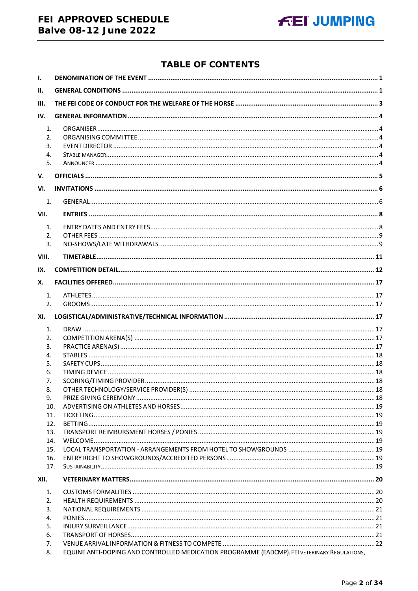# FEI APPROVED SCHEDULE **Balve 08-12 June 2022**



# **TABLE OF CONTENTS**

| $\mathbf{L}$                          |                                                                                              |  |
|---------------------------------------|----------------------------------------------------------------------------------------------|--|
| II.                                   |                                                                                              |  |
| III.                                  |                                                                                              |  |
| IV.                                   |                                                                                              |  |
| 1.<br>2.<br>3.<br>4.<br>5.            |                                                                                              |  |
| V.                                    |                                                                                              |  |
| VI.                                   |                                                                                              |  |
| 1.                                    |                                                                                              |  |
| VII.                                  |                                                                                              |  |
| 1.<br>2.<br>$\overline{3}$ .<br>VIII. |                                                                                              |  |
| IX.                                   |                                                                                              |  |
| Х.                                    |                                                                                              |  |
| 1.                                    |                                                                                              |  |
| 2.                                    |                                                                                              |  |
| XI.                                   |                                                                                              |  |
| 1.                                    |                                                                                              |  |
| 2.                                    |                                                                                              |  |
| 3.                                    |                                                                                              |  |
| 4.                                    |                                                                                              |  |
| 5.                                    |                                                                                              |  |
| 6.                                    |                                                                                              |  |
| 7.                                    |                                                                                              |  |
| 8.                                    |                                                                                              |  |
| 9.                                    |                                                                                              |  |
| 10.<br>11.                            |                                                                                              |  |
| 12.                                   |                                                                                              |  |
| 13.                                   |                                                                                              |  |
| 14.                                   |                                                                                              |  |
| 15.                                   |                                                                                              |  |
| 16.                                   |                                                                                              |  |
| 17.                                   |                                                                                              |  |
| XII.                                  |                                                                                              |  |
| 1.                                    |                                                                                              |  |
| 2.                                    |                                                                                              |  |
| 3.                                    |                                                                                              |  |
| 4.                                    |                                                                                              |  |
| 5.                                    |                                                                                              |  |
| 6.<br>7.                              |                                                                                              |  |
| 8.                                    | EQUINE ANTI-DOPING AND CONTROLLED MEDICATION PROGRAMME (EADCMP). FEI VETERINARY REGULATIONS, |  |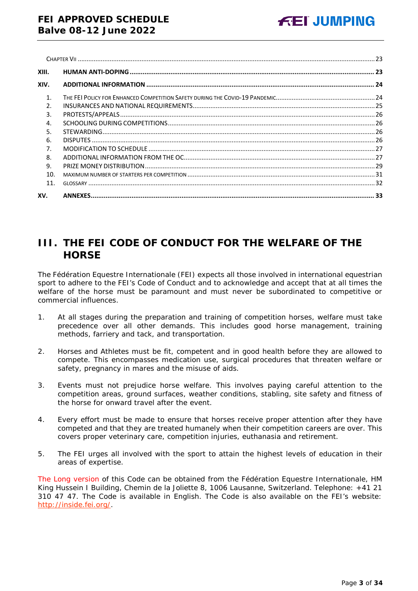| XIII.          |  |
|----------------|--|
| XIV.           |  |
| $\mathbf{1}$   |  |
| $\mathfrak{D}$ |  |
| 3.             |  |
| 4.             |  |
| 5.             |  |
| 6.             |  |
| 7.             |  |
| 8.             |  |
| 9.             |  |
| 10.            |  |
| 11.            |  |
| XV.            |  |

# <span id="page-2-0"></span>**III. THE FEI CODE OF CONDUCT FOR THE WELFARE OF THE HORSE**

The Fédération Equestre Internationale (FEI) expects all those involved in international equestrian sport to adhere to the FEI's Code of Conduct and to acknowledge and accept that at all times the welfare of the horse must be paramount and must never be subordinated to competitive or commercial influences.

- 1. At all stages during the preparation and training of competition horses, welfare must take precedence over all other demands. This includes good horse management, training methods, farriery and tack, and transportation.
- 2. Horses and Athletes must be fit, competent and in good health before they are allowed to compete. This encompasses medication use, surgical procedures that threaten welfare or safety, pregnancy in mares and the misuse of aids.
- 3. Events must not prejudice horse welfare. This involves paying careful attention to the competition areas, ground surfaces, weather conditions, stabling, site safety and fitness of the horse for onward travel after the event.
- 4. Every effort must be made to ensure that horses receive proper attention after they have competed and that they are treated humanely when their competition careers are over. This covers proper veterinary care, competition injuries, euthanasia and retirement.
- 5. The FEI urges all involved with the sport to attain the highest levels of education in their areas of expertise.

The Long version of this Code can be obtained from the Fédération Equestre Internationale, HM King Hussein I Building, Chemin de la Joliette 8, 1006 Lausanne, Switzerland. Telephone: +41 21 310 47 47. The Code is available in English. The Code is also available on the FEI's website: [http://inside.fei.org/.](http://inside.fei.org/)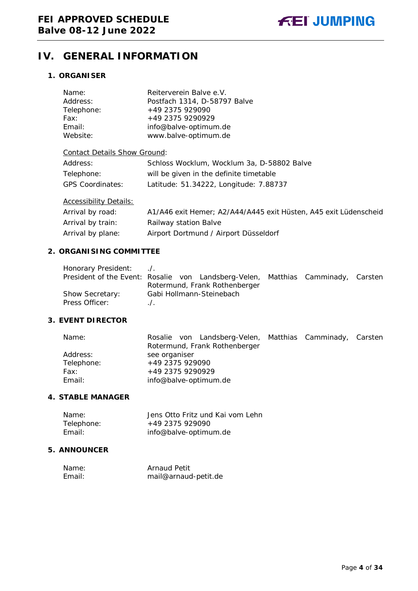# <span id="page-3-0"></span>**IV. GENERAL INFORMATION**

# <span id="page-3-1"></span>**1. ORGANISER**

| Name:                               | Reiterverein Balve e.V.                                          |
|-------------------------------------|------------------------------------------------------------------|
| Address:                            | Postfach 1314, D-58797 Balve                                     |
| Telephone:                          | +49 2375 929090                                                  |
| Fax:                                | +49 2375 9290929                                                 |
| Email:                              | info@balve-optimum.de                                            |
| Website:                            | www.balve-optimum.de                                             |
| <b>Contact Details Show Ground:</b> |                                                                  |
| Address:                            | Schloss Wocklum, Wocklum 3a, D-58802 Balve                       |
| Telephone:                          | will be given in the definite timetable                          |
| <b>GPS Coordinates:</b>             | Latitude: 51.34222, Longitude: 7.88737                           |
| <b>Accessibility Details:</b>       |                                                                  |
| Arrival by road:                    | A1/A46 exit Hemer; A2/A44/A445 exit Hüsten, A45 exit Lüdenscheid |
| Arrival by train:                   | Railway station Balve                                            |
| Arrival by plane:                   | Airport Dortmund / Airport Düsseldorf                            |

### <span id="page-3-2"></span>**2. ORGANISING COMMITTEE**

| Honorary President:                                                              |             |                               |  |  |
|----------------------------------------------------------------------------------|-------------|-------------------------------|--|--|
| President of the Event: Rosalie von Landsberg-Velen, Matthias Camminady, Carsten |             |                               |  |  |
|                                                                                  |             | Rotermund, Frank Rothenberger |  |  |
| Show Secretary:                                                                  |             | Gabi Hollmann-Steinebach      |  |  |
| Press Officer:                                                                   | $\Lambda$ . |                               |  |  |

# <span id="page-3-3"></span>**3. EVENT DIRECTOR**

| Name:      | Rosalie von Landsberg-Velen, Matthias Camminady, Carsten |  |  |  |  |  |
|------------|----------------------------------------------------------|--|--|--|--|--|
|            | Rotermund, Frank Rothenberger                            |  |  |  |  |  |
| Address:   | see organiser                                            |  |  |  |  |  |
| Telephone: | +49 2375 929090                                          |  |  |  |  |  |
| Fax:       | +49 2375 9290929                                         |  |  |  |  |  |
| Email:     | info@balve-optimum.de                                    |  |  |  |  |  |

# <span id="page-3-4"></span>**4. STABLE MANAGER**

| Name:      | Jens Otto Fritz und Kai vom Lehn |
|------------|----------------------------------|
| Telephone: | +49 2375 929090                  |
| Email:     | info@balve-optimum.de            |

# <span id="page-3-5"></span>**5. ANNOUNCER**

| Name:  | <b>Arnaud Petit</b>  |
|--------|----------------------|
| Email: | mail@arnaud-petit.de |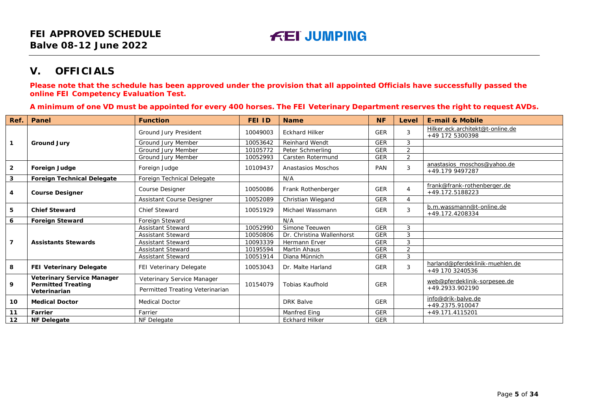# **V. OFFICIALS**

**Please note that the schedule has been approved under the provision that all appointed Officials have successfully passed the online FEI Competency Evaluation Test.**

**A minimum of one VD must be appointed for every 400 horses. The FEI Veterinary Department reserves the right to request AVDs.**

<span id="page-4-0"></span>

| Ref.           | Panel                                                          | <b>Function</b>                 | <b>FEI ID</b> | <b>Name</b>               | <b>NF</b>  | Level          | <b>E-mail &amp; Mobile</b>                          |
|----------------|----------------------------------------------------------------|---------------------------------|---------------|---------------------------|------------|----------------|-----------------------------------------------------|
|                |                                                                | Ground Jury President           | 10049003      | <b>Eckhard Hilker</b>     | <b>GER</b> | 3              | Hilker.eck.architekt@t-online.de<br>+49 172 5300398 |
| $\overline{1}$ | <b>Ground Jury</b>                                             | Ground Jury Member              | 10053642      | <b>Reinhard Wendt</b>     | <b>GER</b> | 3              |                                                     |
|                |                                                                | Ground Jury Member              | 10105772      | Peter Schmerling          | <b>GER</b> | $\overline{2}$ |                                                     |
|                |                                                                | Ground Jury Member              | 10052993      | Carsten Rotermund         | <b>GER</b> | $\overline{2}$ |                                                     |
| $\overline{2}$ | Foreign Judge                                                  | Foreign Judge                   | 10109437      | Anastasios Moschos        | PAN        | 3              | anastasios moschos@yahoo.de<br>+49.179 9497287      |
| $\mathbf{3}$   | <b>Foreign Technical Delegate</b>                              | Foreign Technical Delegate      |               | N/A                       |            |                |                                                     |
| 4              | <b>Course Designer</b>                                         | Course Designer                 | 10050086      | Frank Rothenberger        | <b>GER</b> | 4              | frank@frank-rothenberger.de<br>+49.172.5188223      |
|                |                                                                | Assistant Course Designer       | 10052089      | Christian Wiegand         | <b>GER</b> | 4              |                                                     |
| 5              | <b>Chief Steward</b>                                           | Chief Steward                   | 10051929      | Michael Wassmann          | <b>GER</b> | 3              | b.m.wassmann@t-online.de<br>+49.172.4208334         |
| 6              | <b>Foreign Steward</b>                                         | <b>Foreign Steward</b>          |               | N/A                       |            |                |                                                     |
|                |                                                                | <b>Assistant Steward</b>        | 10052990      | Simone Teeuwen            | <b>GER</b> | 3              |                                                     |
|                | <b>Assistants Stewards</b>                                     | <b>Assistant Steward</b>        | 10050806      | Dr. Christina Wallenhorst | <b>GER</b> | 3              |                                                     |
| $\overline{7}$ |                                                                | <b>Assistant Steward</b>        | 10093339      | Hermann Erver             | <b>GER</b> | 3              |                                                     |
|                |                                                                | <b>Assistant Steward</b>        | 10195594      | Martin Ahaus              | <b>GER</b> | $\overline{2}$ |                                                     |
|                |                                                                | <b>Assistant Steward</b>        | 10051914      | Diana Münnich             | <b>GER</b> | 3              |                                                     |
| 8              | FEI Veterinary Delegate                                        | FEI Veterinary Delegate         | 10053043      | Dr. Malte Harland         | <b>GER</b> | 3              | harland@pferdeklinik-muehlen.de<br>+49 170 3240536  |
| 9              | <b>Veterinary Service Manager</b><br><b>Permitted Treating</b> | Veterinary Service Manager      | 10154079      | <b>Tobias Kaufhold</b>    | <b>GER</b> |                | web@pferdeklinik-sorpesee.de                        |
|                | Veterinarian                                                   | Permitted Treating Veterinarian |               |                           |            |                | +49.2933.902190                                     |
| 10             | <b>Medical Doctor</b>                                          | <b>Medical Doctor</b>           |               | <b>DRK Balve</b>          | <b>GER</b> |                | info@drik-balve.de<br>+49.2375.910047               |
| 11             | Farrier                                                        | Farrier                         |               | <b>Manfred Eing</b>       | <b>GER</b> |                | +49.171.4115201                                     |
| 12             | <b>NF Delegate</b>                                             | NF Delegate                     |               | <b>Eckhard Hilker</b>     | <b>GER</b> |                |                                                     |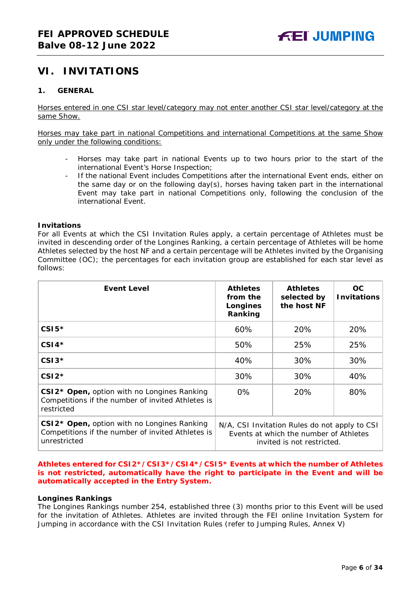# <span id="page-5-0"></span>**VI. INVITATIONS**

# <span id="page-5-1"></span>**1. GENERAL**

Horses entered in one CSI star level/category may not enter another CSI star level/category at the same Show.

Horses may take part in national Competitions and international Competitions at the same Show only under the following conditions:

- Horses may take part in national Events up to two hours prior to the start of the international Event's Horse Inspection;
- If the national Event includes Competitions after the international Event ends, either on the same day or on the following day(s), horses having taken part in the international Event may take part in national Competitions only, following the conclusion of the international Event.

#### **Invitations**

For all Events at which the CSI Invitation Rules apply, a certain percentage of Athletes must be invited in descending order of the Longines Ranking, a certain percentage of Athletes will be home Athletes selected by the host NF and a certain percentage will be Athletes invited by the Organising Committee (OC); the percentages for each invitation group are established for each star level as follows:

| <b>Event Level</b>                                                                                                         | <b>Athletes</b><br>from the<br>Longines<br>Ranking                                                                    | <b>Athletes</b><br>selected by<br>the host NF | OC.<br><b>Invitations</b> |
|----------------------------------------------------------------------------------------------------------------------------|-----------------------------------------------------------------------------------------------------------------------|-----------------------------------------------|---------------------------|
| $CSI5*$                                                                                                                    | 60%                                                                                                                   | 20%                                           | 20%                       |
| $CSI4*$                                                                                                                    | 50%                                                                                                                   | 25%                                           | 25%                       |
| $CSI3*$                                                                                                                    | 40%                                                                                                                   | 30%                                           | 30%                       |
| $CSI2*$                                                                                                                    | 30%                                                                                                                   | 30%                                           | 40%                       |
| CSI2 <sup>*</sup> Open, option with no Longines Ranking<br>Competitions if the number of invited Athletes is<br>restricted | $0\%$                                                                                                                 | 20%                                           | 80%                       |
| CSI2* Open, option with no Longines Ranking<br>Competitions if the number of invited Athletes is<br>unrestricted           | N/A, CSI Invitation Rules do not apply to CSI<br>Events at which the number of Athletes<br>invited is not restricted. |                                               |                           |

#### **Athletes entered for CSI2\*/CSI3\*/CSI4\*/CSI5\* Events at which the number of Athletes is not restricted, automatically have the right to participate in the Event and will be automatically accepted in the Entry System.**

#### **Longines Rankings**

The Longines Rankings number 254, established three (3) months prior to this Event will be used for the invitation of Athletes. Athletes are invited through the FEI online Invitation System for Jumping in accordance with the CSI Invitation Rules (refer to Jumping Rules, Annex V)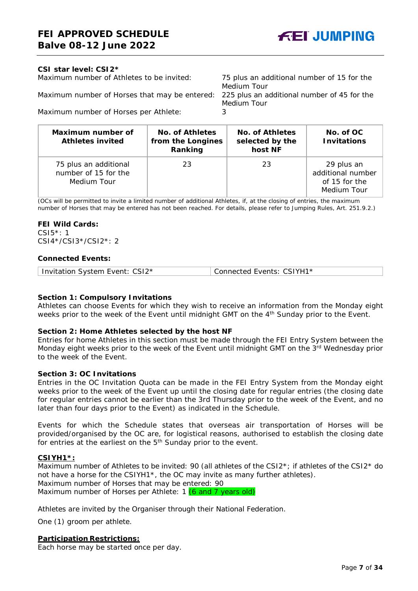

#### **CSI** *star leve***l: CSI2\***

Maximum number of Athletes to be invited: 75 plus an additional number of 15 for the

Maximum number of Horses that may be entered: 225 plus an additional number of 45 for the

Medium Tour

Medium Tour

Maximum number of Horses per Athlete: 3

| Maximum number of<br><b>Athletes invited</b>                 | No. of Athletes<br>from the Longines<br>Ranking | No. of Athletes<br>selected by the<br>host NF | No. of OC<br><b>Invitations</b>                                 |
|--------------------------------------------------------------|-------------------------------------------------|-----------------------------------------------|-----------------------------------------------------------------|
| 75 plus an additional<br>number of 15 for the<br>Medium Tour | 23                                              | 23                                            | 29 plus an<br>additional number<br>of 15 for the<br>Medium Tour |

(OCs will be permitted to invite a limited number of additional Athletes, if, at the closing of entries, the maximum number of Horses that may be entered has not been reached. For details, please refer to Jumping Rules, Art. 251.9.2.)

#### **FEI Wild Cards:**

CSI5\*: 1 CSI4\*/CSI3\*/CSI2\*: 2

#### **Connected Events:**

### **Section 1: Compulsory Invitations**

Athletes can choose Events for which they wish to receive an information from the Monday eight weeks prior to the week of the Event until midnight GMT on the 4<sup>th</sup> Sunday prior to the Event.

#### **Section 2: Home Athletes selected by the host NF**

Entries for home Athletes in this section must be made through the FEI Entry System between the Monday eight weeks prior to the week of the Event until midnight GMT on the 3rd Wednesday prior to the week of the Event.

#### **Section 3: OC Invitations**

Entries in the OC Invitation Quota can be made in the FEI Entry System from the Monday eight weeks prior to the week of the Event up until the closing date for regular entries (the closing date for regular entries cannot be earlier than the 3rd Thursday prior to the week of the Event, and no later than four days prior to the Event) as indicated in the Schedule.

Events for which the Schedule states that overseas air transportation of Horses will be provided/organised by the OC are, for logistical reasons, authorised to establish the closing date for entries at the earliest on the 5<sup>th</sup> Sunday prior to the event.

#### **CSIYH1\*:**

Maximum number of Athletes to be invited: 90 (all athletes of the CSI2\*; if athletes of the CSI2\* do not have a horse for the CSIYH1\*, the OC may invite as many further athletes). Maximum number of Horses that may be entered: 90 Maximum number of Horses per Athlete: 1 (6 and 7 years old)

Athletes are invited by the Organiser through their National Federation.

One (1) groom per athlete.

#### **Participation Restrictions:**

Each horse may be started once per day.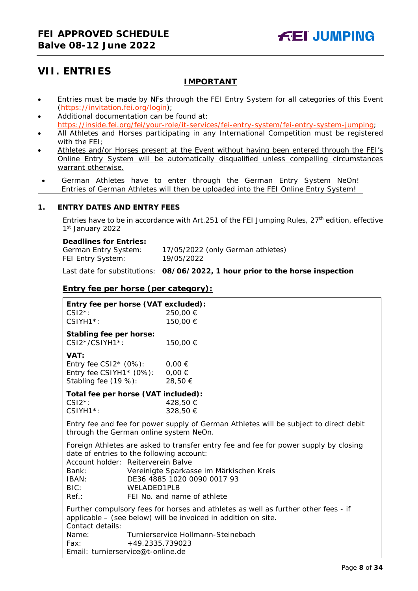# <span id="page-7-0"></span>**VII. ENTRIES**

# **IMPORTANT**

- Entries must be made by NFs through the FEI Entry System for all categories of this Event [\(https://invitation.fei.org/login\)](https://invitation.fei.org/login);
- Additional documentation can be found at: [https://inside.fei.org/fei/your-role/it-services/fei-entry-system/fei-entry-system-jumping;](https://inside.fei.org/fei/your-role/it-services/fei-entry-system/fei-entry-system-jumping)
- All Athletes and Horses participating in any International Competition must be registered with the FEI;
- Athletes and/or Horses present at the Event without having been entered through the FEI's Online Entry System will be automatically disqualified unless compelling circumstances warrant otherwise.
- German Athletes have to enter through the German Entry System NeOn! Entries of German Athletes will then be uploaded into the FEI Online Entry System!

### <span id="page-7-1"></span>**1. ENTRY DATES AND ENTRY FEES**

Entries have to be in accordance with Art. 251 of the FEI Jumping Rules,  $27<sup>th</sup>$  edition, effective 1st January 2022

#### **Deadlines for Entries:**

| German Entry System: | 17/05/2022 (only German athletes) |
|----------------------|-----------------------------------|
| FEI Entry System:    | 19/05/2022                        |

Last date for substitutions: **08/06/2022, 1 hour prior to the horse inspection**

# **Entry fee per horse** *(per category):*

| Entry fee per horse (VAT excluded):<br>$CSI2^*$ :<br>$CSIYH1*$ :                                                                                                                                                                                                                                                                                                                                                                                  | 250,00 €<br>150,00 € |  |  |  |
|---------------------------------------------------------------------------------------------------------------------------------------------------------------------------------------------------------------------------------------------------------------------------------------------------------------------------------------------------------------------------------------------------------------------------------------------------|----------------------|--|--|--|
| Stabling fee per horse:<br>CSI2*/CSIYH1*:                                                                                                                                                                                                                                                                                                                                                                                                         | 150,00 €             |  |  |  |
| VAT:<br>Entry fee CSI2 $*$ (0%):<br>Entry fee CSIYH1* $(0\%)$ : 0,00 €<br>Stabling fee (19 %): 28,50 €                                                                                                                                                                                                                                                                                                                                            | $0,00 \in$           |  |  |  |
| Total fee per horse (VAT included):<br>$CSI2^*$ :<br>$CSIYH1*$ :                                                                                                                                                                                                                                                                                                                                                                                  | 428,50 €<br>328,50 € |  |  |  |
| Entry fee and fee for power supply of German Athletes will be subject to direct debit<br>through the German online system NeOn.                                                                                                                                                                                                                                                                                                                   |                      |  |  |  |
| Foreign Athletes are asked to transfer entry fee and fee for power supply by closing<br>date of entries to the following account:<br>Account holder: Reiterverein Balve<br>Vereinigte Sparkasse im Märkischen Kreis<br>Bank:<br>DE36 4885 1020 0090 0017 93<br>IBAN:<br>BIC: and the state of the state of the state of the state of the state of the state of the state of the state o<br>WELADED1PLB<br>$Ref.$ :<br>FEI No. and name of athlete |                      |  |  |  |
| Further compulsory fees for horses and athletes as well as further other fees - if<br>applicable – (see below) will be invoiced in addition on site.<br>Contact details:                                                                                                                                                                                                                                                                          |                      |  |  |  |
| Turnierservice Hollmann-Steinebach<br>Name:<br>+49.2335.739023<br>Fax:<br>Email: turnierservice@t-online.de                                                                                                                                                                                                                                                                                                                                       |                      |  |  |  |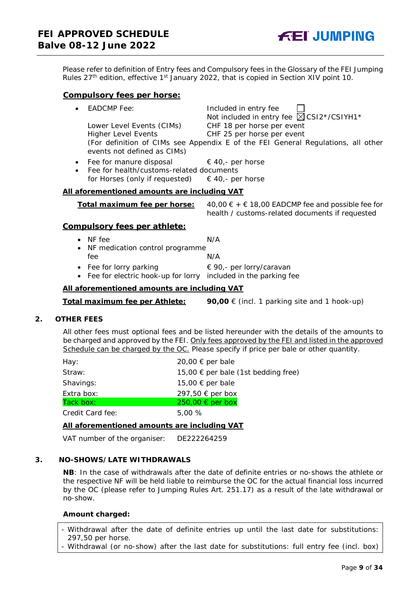Please refer to definition of Entry fees and Compulsory fees in the Glossary of the FEI Jumping Rules 27<sup>th</sup> edition, effective 1<sup>st</sup> January 2022, that is copied in Section XIV point 10.

#### **Compulsory fees per horse:**

| • EADCMP Fee:               | Included in entry fee                                                            |
|-----------------------------|----------------------------------------------------------------------------------|
|                             | Not included in entry fee $\boxtimes$ CSI2*/CSIYH1*                              |
| Lower Level Events (CIMs)   | CHF 18 per horse per event                                                       |
| <b>Higher Level Events</b>  | CHF 25 per horse per event                                                       |
|                             | (For definition of CIMs see Appendix E of the FEI General Regulations, all other |
| events not defined as CIMs) |                                                                                  |
|                             |                                                                                  |

- Fee for manure disposal  $\epsilon$  40,- per horse
- Fee for health/customs-related documents for Horses (only if requested)  $\in$  40,- per horse

#### **All aforementioned amounts are including VAT**

| Total maximum fee per horse: | 40,00 € + € 18,00 EADCMP fee and possible fee for |
|------------------------------|---------------------------------------------------|
|                              | health / customs-related documents if requested   |

#### **Compulsory fees per athlete:**

- NF fee  $N/A$
- NF medication control programme fee N/A
- Fee for lorry parking  $\epsilon \neq 90$ , per lorry/caravan
- Fee for electric hook-up for lorry included in the parking fee

#### **All aforementioned amounts are including VAT**

**Total maximum fee per Athlete: 90,00** € (incl. 1 parking site and 1 hook-up)

### <span id="page-8-0"></span>**2. OTHER FEES**

All other fees must optional fees and be listed hereunder with the details of the amounts to be charged and approved by the FEI. Only fees approved by the FEI and listed in the approved Schedule can be charged by the OC. *Please specify if price per bale or other quantity.*

| Hay:             | 20,00 € per bale                    |
|------------------|-------------------------------------|
| Straw:           | 15,00 € per bale (1st bedding free) |
| Shavings:        | 15,00 € per bale                    |
| Extra box:       | 297,50 € per box                    |
| Tack box:        | $250,00 \in per$ box                |
| Credit Card fee: | 5.00%                               |

#### **All aforementioned amounts are including VAT**

VAT number of the organiser: DE222264259

#### <span id="page-8-1"></span>**3. NO-SHOWS/LATE WITHDRAWALS**

**NB**: In the case of withdrawals after the date of definite entries or no-shows the athlete or the respective NF will be held liable to reimburse the OC for the actual financial loss incurred by the OC (please refer to Jumping Rules Art. 251.17) as a result of the late withdrawal or no-show.

#### **Amount charged:**

- Withdrawal after the date of definite entries up until the last date for substitutions: 297,50 per horse.
- Withdrawal (or no-show) after the last date for substitutions: full entry fee (incl. box)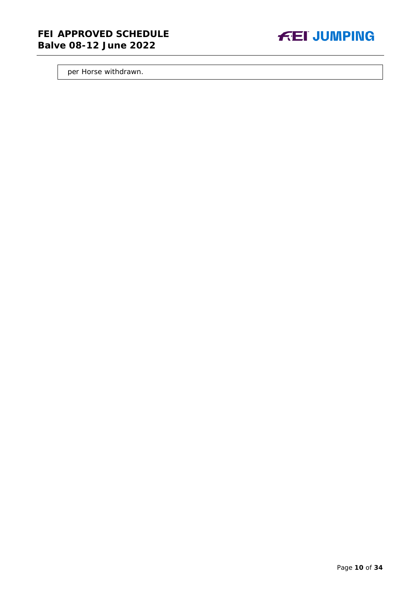# **FEI APPROVED SCHEDULE Balve 08-12 June 2022**



per Horse withdrawn.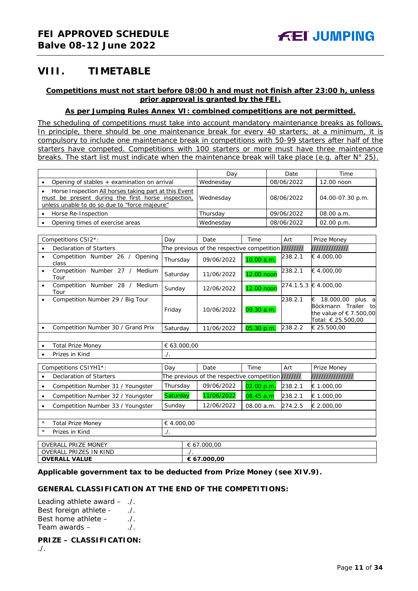# <span id="page-10-0"></span>**VIII. TIMETABLE**

# **Competitions must not start before 08:00 h and must not finish after 23:00 h, unless prior approval is granted by the FEI.**

# **As per Jumping Rules Annex VI: combined competitions are not permitted.**

*The scheduling of competitions must take into account mandatory maintenance breaks as follows. In principle, there should be one maintenance break for every 40 starters; at a minimum, it is compulsory to include one maintenance break in competitions with 50-99 starters after half of the starters have competed. Competitions with 100 starters or more must have three maintenance breaks. The start list must indicate when the maintenance break will take place (e.g. after N° 25).*

|                                                                                                                                                              | Dav       | Date       | Time             |
|--------------------------------------------------------------------------------------------------------------------------------------------------------------|-----------|------------|------------------|
| Opening of stables + examination on arrival                                                                                                                  | Wednesday | 08/06/2022 | 12.00 noon       |
| Horse Inspection All horses taking part at this Event<br>must be present during the first horse inspection.<br>unless unable to do so due to "force majeure" | Wednesday | 08/06/2022 | 04.00-07.30 p.m. |
| Horse Re-Inspection                                                                                                                                          | Thursday  | 09/06/2022 | 08.00 a.m.       |
| Opening times of exercise areas                                                                                                                              | Wednesday | 08/06/2022 | 02.00 p.m.       |

| Competitions CSI2*:                          | Day      | Date                                                  | Time       | Art     | Prize Money                                                                                             |
|----------------------------------------------|----------|-------------------------------------------------------|------------|---------|---------------------------------------------------------------------------------------------------------|
| Declaration of Starters                      |          | The previous of the respective competition ////////// |            |         | ///////////////                                                                                         |
| Competition Number 26 /<br>Opening<br>class  | Thursday | 09/06/2022                                            | 10.00 a.m. | 238.2.1 | € 4.000.00                                                                                              |
| Number 27 /<br>Medium<br>Competition<br>Tour | Saturday | 11/06/2022                                            | 12.00 noon | 238.2.1 | € 4.000.00                                                                                              |
| Competition<br>Number 28 /<br>Medium<br>Tour | Sunday   | 12/06/2022                                            | 12.00 noon |         | 274.1.5.3 € 4.000,00                                                                                    |
| Competition Number 29 / Big Tour             | Friday   | 10/06/2022                                            | 09.30 a.m. | 238.2.1 | 18.000,00<br>€<br>plus a<br>Böckmann Trailer<br>to<br>the value of $\in$ 7.500,00<br>Total: € 25.500.00 |
| Competition Number 30 / Grand Prix           | Saturday | 11/06/2022                                            | 05.30 p.m. | 238.2.2 | € 25.500.00                                                                                             |
|                                              |          |                                                       |            |         |                                                                                                         |

| <b>Total Prize Money</b> | € 63.000,00 |  |  |
|--------------------------|-------------|--|--|
| Prizes in Kind           | $\cdot$ .   |  |  |
|                          |             |  |  |
|                          |             |  |  |

| Competitions CSIYH1*:                  | Day               | Date                                                 | Time       | Art     | Prize Money      |
|----------------------------------------|-------------------|------------------------------------------------------|------------|---------|------------------|
| Declaration of Starters                |                   | The previous of the respective competition ///////// |            |         | //////////////// |
| Competition Number 31 / Youngster      | Thursday          | 09/06/2022                                           | 02.00 p.m. | 238.2.1 | € 1.000,00       |
| Competition Number 32 / Youngster      | <b>Saturday</b>   | 11/06/2022                                           | 08.45 a.m  | 238.2.1 | € 1.000.00       |
| Competition Number 33 / Youngster      | Sunday            | 12/06/2022                                           | 08.00 a.m. | 274.2.5 | € 2.000,00       |
|                                        |                   |                                                      |            |         |                  |
| $^{\star}$<br><b>Total Prize Money</b> | € 4.000.00        |                                                      |            |         |                  |
| $^\star$<br>Prizes in Kind             | $\cdot$ .         |                                                      |            |         |                  |
|                                        |                   |                                                      |            |         |                  |
| <b>OVERALL PRIZE MONEY</b>             |                   | € 67.000.00                                          |            |         |                  |
| <b>OVERALL PRIZES IN KIND</b>          | $\cdot$ / $\cdot$ |                                                      |            |         |                  |
| <b>OVERALL VALUE</b>                   |                   | € 67.000.00                                          |            |         |                  |

#### **Applicable government tax to be deducted from Prize Money (see XIV.9).**

#### **GENERAL CLASSIFICATION AT THE END OF THE COMPETITIONS:**

Leading athlete award – ./. Best foreign athlete - ./. Best home athlete -Team awards  $-$  ...

**PRIZE – CLASSIFICATION:**

./.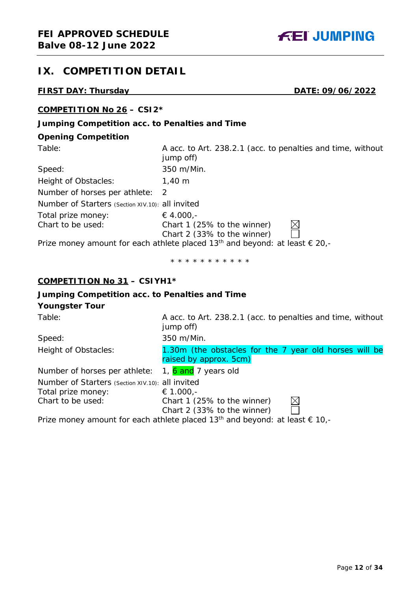

# <span id="page-11-0"></span>**IX. COMPETITION DETAIL**

# **FIRST DAY: Thursday DATE: 09/06/2022**

# **COMPETITION No 26 – CSI2\***

# **Jumping Competition acc. to Penalties and Time**

# **Opening Competition**

| Table:                                           | A acc. to Art. 238.2.1 (acc. to penalties and time, without<br>jump off)                         |
|--------------------------------------------------|--------------------------------------------------------------------------------------------------|
| Speed:                                           | 350 m/Min.                                                                                       |
| Height of Obstacles:                             | 1,40 m                                                                                           |
| Number of horses per athlete:                    | 2                                                                                                |
| Number of Starters (Section XIV.10): all invited |                                                                                                  |
| Total prize money:                               | € 4.000,-                                                                                        |
| Chart to be used:                                | Chart 1 (25% to the winner)                                                                      |
|                                                  | Chart 2 (33% to the winner)                                                                      |
|                                                  | Prize money amount for each athlete placed 13 <sup>th</sup> and beyond: at least $\epsilon$ 20,- |

\* \* \* \* \* \* \* \* \* \* \*

# **COMPETITION No 31 – CSIYH1\***

# **Jumping Competition acc. to Penalties and Time**

# **Youngster Tour**

| Table:                                           | A acc. to Art. 238.2.1 (acc. to penalties and time, without<br>jump off)                         |
|--------------------------------------------------|--------------------------------------------------------------------------------------------------|
| Speed:                                           | 350 m/Min.                                                                                       |
| Height of Obstacles:                             | 1.30m (the obstacles for the 7 year old horses will be<br>raised by approx. 5cm)                 |
| Number of horses per athlete:                    | 1, 6 and 7 years old                                                                             |
| Number of Starters (Section XIV.10): all invited |                                                                                                  |
| Total prize money:                               | € 1.000,-                                                                                        |
| Chart to be used:                                | Chart 1 (25% to the winner)                                                                      |
|                                                  | Chart 2 (33% to the winner)                                                                      |
|                                                  | Prize money amount for each athlete placed 13 <sup>th</sup> and beyond: at least $\epsilon$ 10,- |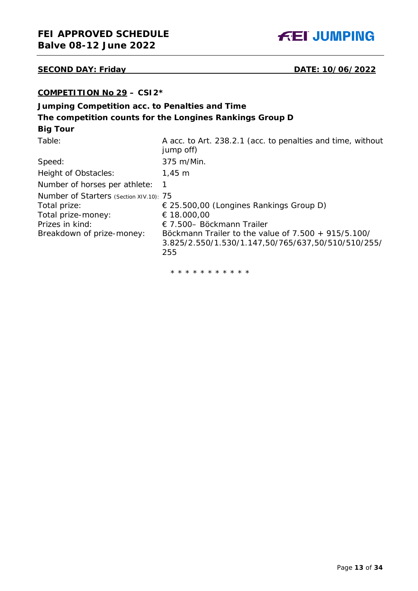# **SECOND DAY: Friday DATE: 10/06/2022**

# **COMPETITION No 29 – CSI2\***

# **Jumping Competition acc. to Penalties and Time The competition counts for the Longines Rankings Group D Big Tour**

| Table:                                                                                                                        | A acc. to Art. 238.2.1 (acc. to penalties and time, without<br>jump off)                                                                                                                                          |
|-------------------------------------------------------------------------------------------------------------------------------|-------------------------------------------------------------------------------------------------------------------------------------------------------------------------------------------------------------------|
| Speed:                                                                                                                        | 375 m/Min.                                                                                                                                                                                                        |
| Height of Obstacles:                                                                                                          | $1,45 \; m$                                                                                                                                                                                                       |
| Number of horses per athlete:                                                                                                 |                                                                                                                                                                                                                   |
| Number of Starters (Section XIV.10): 75<br>Total prize:<br>Total prize-money:<br>Prizes in kind:<br>Breakdown of prize-money: | $\in$ 25.500,00 (Longines Rankings Group D)<br>€ 18.000,00<br>$\in$ 7.500– Böckmann Trailer<br>Bockmann Trailer to the value of $7.500 + 915/5.100/$<br>3.825/2.550/1.530/1.147,50/765/637,50/510/510/255/<br>255 |

\* \* \* \* \* \* \* \* \* \* \*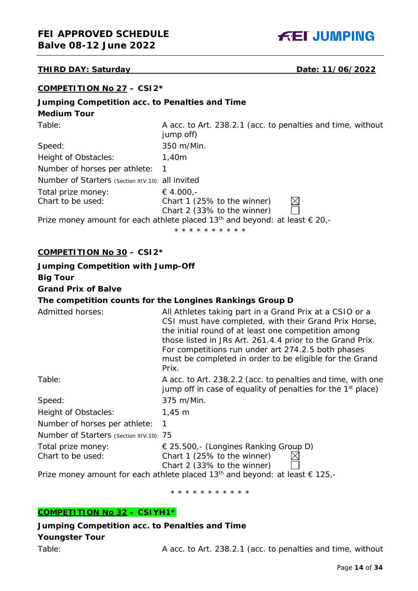# **THIRD DAY: Saturday Date: 11/06/2022**

| COMPETITION No 27 - CSI2* |  |
|---------------------------|--|
|---------------------------|--|

# **Jumping Competition acc. to Penalties and Time**

# **Medium Tour**

| Table:                                           | A acc. to Art. 238.2.1 (acc. to penalties and time, without<br>jump off)                         |
|--------------------------------------------------|--------------------------------------------------------------------------------------------------|
| Speed:                                           | 350 m/Min.                                                                                       |
| Height of Obstacles:                             | 1,40m                                                                                            |
| Number of horses per athlete:                    |                                                                                                  |
| Number of Starters (Section XIV.10): all invited |                                                                                                  |
| Total prize money:                               | € 4.000,-                                                                                        |
| Chart to be used:                                | Chart 1 (25% to the winner)                                                                      |
|                                                  | Chart 2 (33% to the winner)                                                                      |
|                                                  | Prize money amount for each athlete placed 13 <sup>th</sup> and beyond: at least $\epsilon$ 20,- |
|                                                  | * * * * * * * * * *                                                                              |

# **COMPETITION No 30 – CSI2\***

| <b>Jumping Competition with Jump-Off</b> |                                                                                                                                                                                                                                                                                                                                                                |
|------------------------------------------|----------------------------------------------------------------------------------------------------------------------------------------------------------------------------------------------------------------------------------------------------------------------------------------------------------------------------------------------------------------|
| <b>Big Tour</b>                          |                                                                                                                                                                                                                                                                                                                                                                |
| <b>Grand Prix of Balve</b>               |                                                                                                                                                                                                                                                                                                                                                                |
|                                          | The competition counts for the Longines Rankings Group D                                                                                                                                                                                                                                                                                                       |
| Admitted horses:                         | All Athletes taking part in a Grand Prix at a CSIO or a<br>CSI must have completed, with their Grand Prix Horse,<br>the initial round of at least one competition among<br>those listed in JRs Art. 261.4.4 prior to the Grand Prix.<br>For competitions run under art 274.2.5 both phases<br>must be completed in order to be eligible for the Grand<br>Prix. |
| Table:                                   | A acc. to Art. 238.2.2 (acc. to penalties and time, with one<br>jump off in case of equality of penalties for the $1st$ place)                                                                                                                                                                                                                                 |
| Speed:                                   | 375 m/Min.                                                                                                                                                                                                                                                                                                                                                     |
| Height of Obstacles:                     | $1,45 \; m$                                                                                                                                                                                                                                                                                                                                                    |
| Number of horses per athlete:            | 1                                                                                                                                                                                                                                                                                                                                                              |
| Number of Starters (Section XIV.10): 75  |                                                                                                                                                                                                                                                                                                                                                                |
| Total prize money:<br>Chart to be used:  | $\in$ 25.500,- (Longines Ranking Group D)<br>Chart 1 (25% to the winner)<br>Chart 2 (33% to the winner)                                                                                                                                                                                                                                                        |

Prize money amount for each athlete placed 13<sup>th</sup> and beyond: at least  $\epsilon$  125,-

\* \* \* \* \* \* \* \* \* \* \*

# **COMPETITION No 32 – CSIYH1\***

**Jumping Competition acc. to Penalties and Time Youngster Tour**

Table: Table: A acc. to Art. 238.2.1 (acc. to penalties and time, without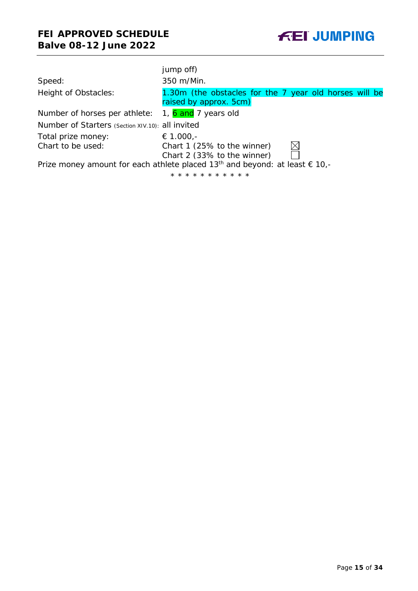|                                                                                                  | jump off)                                                                        |  |  |
|--------------------------------------------------------------------------------------------------|----------------------------------------------------------------------------------|--|--|
| Speed:                                                                                           | 350 m/Min.                                                                       |  |  |
| Height of Obstacles:                                                                             | 1.30m (the obstacles for the 7 year old horses will be<br>raised by approx. 5cm) |  |  |
| Number of horses per athlete: $1, 6$ and 7 years old                                             |                                                                                  |  |  |
| Number of Starters (Section XIV.10): all invited                                                 |                                                                                  |  |  |
| Total prize money:                                                                               | € 1.000,-                                                                        |  |  |
| Chart to be used:                                                                                | Chart 1 (25% to the winner)<br>Chart 2 (33% to the winner)                       |  |  |
| Prize money amount for each athlete placed 13 <sup>th</sup> and beyond: at least $\epsilon$ 10,- |                                                                                  |  |  |
|                                                                                                  | * * * * * * * * * * *                                                            |  |  |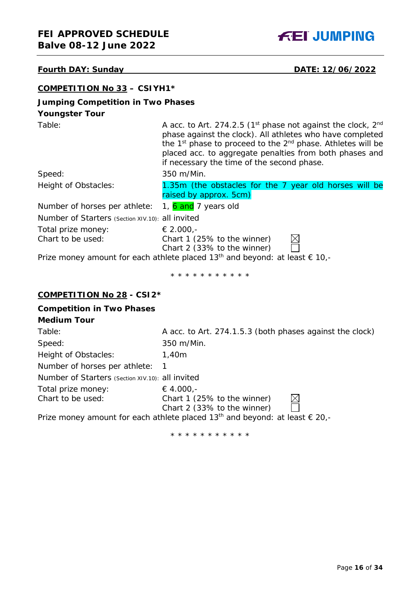

# **Fourth DAY: Sunday DATE: 12/06/2022**

| <b>COMPETITION No 33 - CSIYH1*</b>                                                          |                                                                                                                                                                                                                                                                                                                                |  |  |  |
|---------------------------------------------------------------------------------------------|--------------------------------------------------------------------------------------------------------------------------------------------------------------------------------------------------------------------------------------------------------------------------------------------------------------------------------|--|--|--|
| <b>Jumping Competition in Two Phases</b>                                                    |                                                                                                                                                                                                                                                                                                                                |  |  |  |
| <b>Youngster Tour</b>                                                                       |                                                                                                                                                                                                                                                                                                                                |  |  |  |
| Table:                                                                                      | A acc. to Art. 274.2.5 ( $1st$ phase not against the clock, $2nd$<br>phase against the clock). All athletes who have completed<br>the 1 <sup>st</sup> phase to proceed to the 2 <sup>nd</sup> phase. Athletes will be<br>placed acc. to aggregate penalties from both phases and<br>if necessary the time of the second phase. |  |  |  |
| Speed:                                                                                      | 350 m/Min.                                                                                                                                                                                                                                                                                                                     |  |  |  |
| Height of Obstacles:                                                                        | 1.35m (the obstacles for the 7 year old horses will be<br>raised by approx. 5cm)                                                                                                                                                                                                                                               |  |  |  |
| Number of horses per athlete:                                                               | 1, 6 and 7 years old                                                                                                                                                                                                                                                                                                           |  |  |  |
| Number of Starters (Section XIV.10): all invited                                            |                                                                                                                                                                                                                                                                                                                                |  |  |  |
| Total prize money:                                                                          | € 2.000,-                                                                                                                                                                                                                                                                                                                      |  |  |  |
| Chart to be used:                                                                           | Chart 1 (25% to the winner)<br>Chart 2 (33% to the winner)                                                                                                                                                                                                                                                                     |  |  |  |
| Prize money amount for each athlete placed 13 <sup>th</sup> and beyond: at least $\in$ 10,- |                                                                                                                                                                                                                                                                                                                                |  |  |  |
|                                                                                             | * * * * * * * * * * *                                                                                                                                                                                                                                                                                                          |  |  |  |
| <b>COMPETITION No 28 - CSI2*</b>                                                            |                                                                                                                                                                                                                                                                                                                                |  |  |  |
| <b>Competition in Two Phases</b>                                                            |                                                                                                                                                                                                                                                                                                                                |  |  |  |
| <b>Medium Tour</b>                                                                          |                                                                                                                                                                                                                                                                                                                                |  |  |  |
| Toblo:                                                                                      | $\Lambda$ acc. to $\Lambda$ rt, $271.15.2$ (both phases against the clock)                                                                                                                                                                                                                                                     |  |  |  |

| Table:                                           | A acc. to Art. 274.1.5.3 (both phases against the clock)                                         |
|--------------------------------------------------|--------------------------------------------------------------------------------------------------|
| Speed:                                           | 350 m/Min.                                                                                       |
| Height of Obstacles:                             | 1,40m                                                                                            |
| Number of horses per athlete:                    |                                                                                                  |
| Number of Starters (Section XIV.10): all invited |                                                                                                  |
| Total prize money:                               | € 4.000,-                                                                                        |
| Chart to be used:                                | Chart 1 (25% to the winner)                                                                      |
|                                                  | Chart 2 (33% to the winner)                                                                      |
|                                                  | Prize money amount for each athlete placed 13 <sup>th</sup> and beyond: at least $\epsilon$ 20,- |
|                                                  |                                                                                                  |

\* \* \* \* \* \* \* \* \* \* \*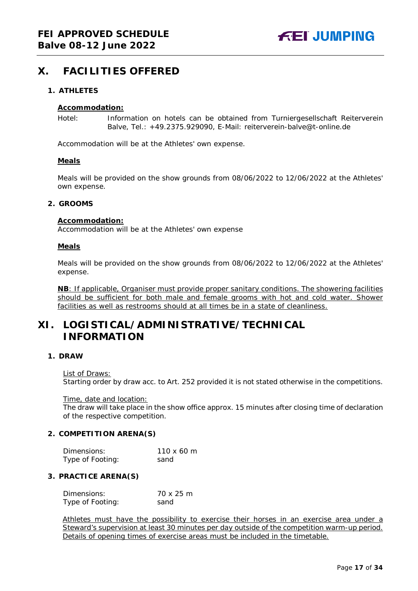# <span id="page-16-0"></span>**X. FACILITIES OFFERED**

### <span id="page-16-1"></span>**1. ATHLETES**

#### **Accommodation:**

Hotel: Information on hotels can be obtained from Turniergesellschaft Reiterverein Balve, Tel.: +49.2375.929090, E-Mail: reiterverein-balve@t-online.de

Accommodation will be at the Athletes' own expense.

#### **Meals**

Meals will be provided on the show grounds from 08/06/2022 to 12/06/2022 at the Athletes' own expense.

#### <span id="page-16-2"></span>**2. GROOMS**

#### **Accommodation:**

Accommodation will be at the Athletes' own expense

#### **Meals**

Meals will be provided on the show grounds from 08/06/2022 to 12/06/2022 at the Athletes' expense.

**NB**: If applicable, Organiser must provide proper sanitary conditions. The showering facilities should be sufficient for both male and female grooms with hot and cold water. Shower facilities as well as restrooms should at all times be in a state of cleanliness.

# <span id="page-16-3"></span>**XI. LOGISTICAL/ADMINISTRATIVE/TECHNICAL INFORMATION**

# <span id="page-16-4"></span>**1. DRAW**

#### List of Draws:

Starting order by draw acc. to Art. 252 provided it is not stated otherwise in the competitions.

Time, date and location:

The draw will take place in the show office approx. 15 minutes after closing time of declaration of the respective competition.

#### <span id="page-16-5"></span>**2. COMPETITION ARENA(S)**

| Dimensions:      | $110 \times 60$ m |
|------------------|-------------------|
| Type of Footing: | sand              |

#### <span id="page-16-6"></span>**3. PRACTICE ARENA(S)**

| Dimensions:      | 70 x 25 m |
|------------------|-----------|
| Type of Footing: | sand      |

Athletes must have the possibility to exercise their horses in an exercise area under a Steward's supervision at least 30 minutes per day outside of the competition warm-up period. Details of opening times of exercise areas must be included in the timetable.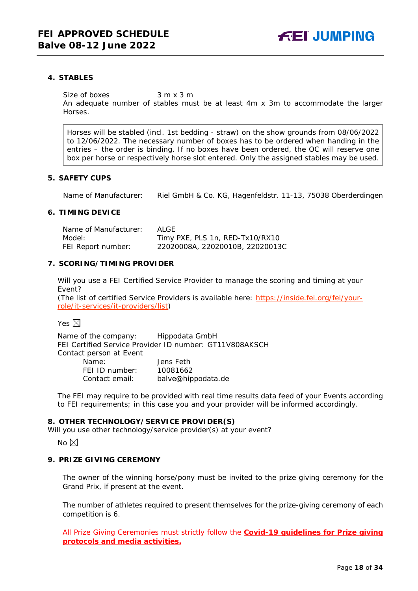### <span id="page-17-0"></span>**4. STABLES**

Size of boxes 3 m x 3 m

An adequate number of stables must be at least 4m x 3m to accommodate the larger Horses.

Horses will be stabled (incl. 1st bedding - straw) on the show grounds from 08/06/2022 to 12/06/2022. The necessary number of boxes has to be ordered when handing in the entries – the order is binding. If no boxes have been ordered, the OC will reserve one box per horse or respectively horse slot entered. Only the assigned stables may be used.

#### <span id="page-17-1"></span>**5. SAFETY CUPS**

Name of Manufacturer: Riel GmbH & Co. KG, Hagenfeldstr. 11-13, 75038 Oberderdingen

# <span id="page-17-3"></span><span id="page-17-2"></span>**6. TIMING DEVICE**

| Name of Manufacturer: | ALGE.                           |
|-----------------------|---------------------------------|
| Model:                | Timy PXE, PLS 1n, RED-Tx10/RX10 |
| FEI Report number:    | 22020008A, 22020010B, 22020013C |

### **7. SCORING/TIMING PROVIDER**

Will you use a FEI Certified Service Provider to manage the scoring and timing at your Event?

*(The list of certified Service Providers is available here:* [https://inside.fei.org/fei/your](https://inside.fei.org/fei/your-role/it-services/it-providers/list)[role/it-services/it-providers/list](https://inside.fei.org/fei/your-role/it-services/it-providers/list)*)*

#### Yes  $\boxtimes$

Name of the company: Hippodata GmbH FEI Certified Service Provider ID number: GT11V808AKSCH Contact person at Event Name: Jens Feth FEI ID number: 10081662 balve@hippodata.de

The FEI may require to be provided with real time results data feed of your Events according to FEI requirements; in this case you and your provider will be informed accordingly.

#### <span id="page-17-4"></span>**8. OTHER TECHNOLOGY/SERVICE PROVIDER(S)**

Will you use other technology/service provider(s) at your event?

No  $\boxtimes$ 

### <span id="page-17-5"></span>**9. PRIZE GIVING CEREMONY**

The owner of the winning horse/pony must be invited to the prize giving ceremony for the Grand Prix, if present at the event.

The number of athletes required to present themselves for the prize-giving ceremony of each competition is 6.

All Prize Giving Ceremonies must strictly follow the **Covid-19 guidelines for Prize giving protocols and media activities.**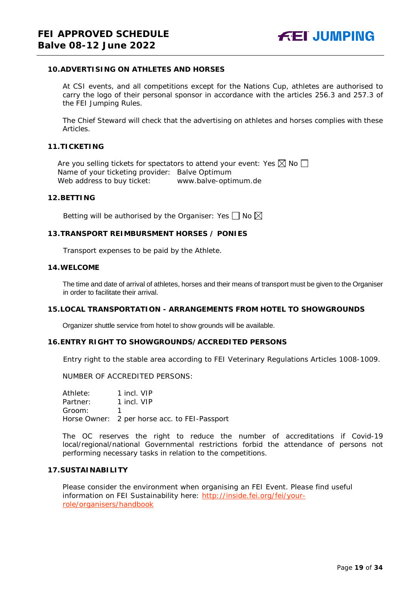### <span id="page-18-0"></span>**10.ADVERTISING ON ATHLETES AND HORSES**

At CSI events, and all competitions except for the Nations Cup, athletes are authorised to carry the logo of their personal sponsor in accordance with the articles 256.3 and 257.3 of the FEI Jumping Rules.

The Chief Steward will check that the advertising on athletes and horses complies with these Articles.

#### <span id="page-18-1"></span>**11.TICKETING**

Are you selling tickets for spectators to attend your event: Yes  $\boxtimes$  No  $\Box$ Name of your ticketing provider: Balve Optimum<br>Web address to buy ticket: www.balve-optimum.de Web address to buy ticket:

#### <span id="page-18-2"></span>**12.BETTING**

Betting will be authorised by the Organiser: Yes  $\Box$  No  $\boxtimes$ 

#### <span id="page-18-3"></span>**13.TRANSPORT REIMBURSMENT HORSES / PONIES**

Transport expenses to be paid by the Athlete.

#### <span id="page-18-4"></span>**14.WELCOME**

The time and date of arrival of athletes, horses and their means of transport must be given to the Organiser in order to facilitate their arrival.

#### <span id="page-18-5"></span>**15.LOCAL TRANSPORTATION - ARRANGEMENTS FROM HOTEL TO SHOWGROUNDS**

Organizer shuttle service from hotel to show grounds will be available.

#### <span id="page-18-6"></span>**16.ENTRY RIGHT TO SHOWGROUNDS/ACCREDITED PERSONS**

Entry right to the stable area according to FEI Veterinary Regulations Articles 1008-1009.

NUMBER OF ACCREDITED PERSONS:

Athlete: 1 incl. VIP<br>Partner: 1 incl. VIP Partner: Groom: 1 Horse Owner: 2 per horse acc. to FEI-Passport

The OC reserves the right to reduce the number of accreditations if Covid-19 local/regional/national Governmental restrictions forbid the attendance of persons not performing necessary tasks in relation to the competitions.

#### <span id="page-18-7"></span>**17.SUSTAINABILITY**

Please consider the environment when organising an FEI Event. Please find useful information on FEI Sustainability here: [http://inside.fei.org/fei/your](http://inside.fei.org/fei/your-role/organisers/handbook)[role/organisers/handbook](http://inside.fei.org/fei/your-role/organisers/handbook)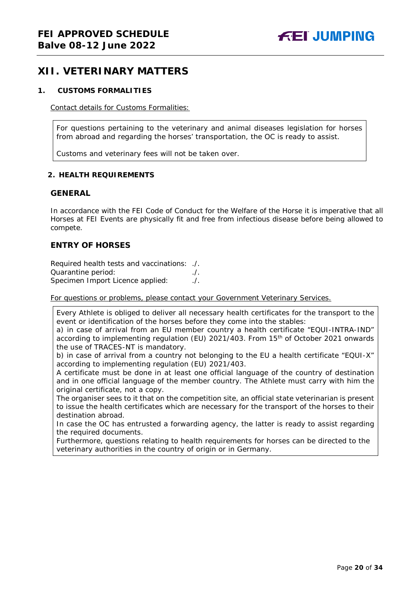# <span id="page-19-0"></span>**XII. VETERINARY MATTERS**

#### <span id="page-19-1"></span>**1. CUSTOMS FORMALITIES**

Contact details for Customs Formalities:

For questions pertaining to the veterinary and animal diseases legislation for horses from abroad and regarding the horses' transportation, the OC is ready to assist.

Customs and veterinary fees will not be taken over.

### <span id="page-19-2"></span>**2. HEALTH REQUIREMENTS**

### **GENERAL**

In accordance with the FEI Code of Conduct for the Welfare of the Horse it is imperative that all Horses at FEI Events are physically fit and free from infectious disease before being allowed to compete.

# **ENTRY OF HORSES**

Required health tests and vaccinations: ./. Quarantine period: ./. Specimen Import Licence applied:

For questions or problems, please contact your Government Veterinary Services.

Every Athlete is obliged to deliver all necessary health certificates for the transport to the event or identification of the horses before they come into the stables:

a) in case of arrival from an EU member country a health certificate "EQUI-INTRA-IND" according to implementing regulation (EU) 2021/403. From 15th of October 2021 onwards the use of TRACES-NT is mandatory.

b) in case of arrival from a country not belonging to the EU a health certificate "EQUI-X" according to implementing regulation (EU) 2021/403.

A certificate must be done in at least one official language of the country of destination and in one official language of the member country. The Athlete must carry with him the original certificate, not a copy.

The organiser sees to it that on the competition site, an official state veterinarian is present to issue the health certificates which are necessary for the transport of the horses to their destination abroad.

In case the OC has entrusted a forwarding agency, the latter is ready to assist regarding the required documents.

Furthermore, questions relating to health requirements for horses can be directed to the veterinary authorities in the country of origin or in Germany.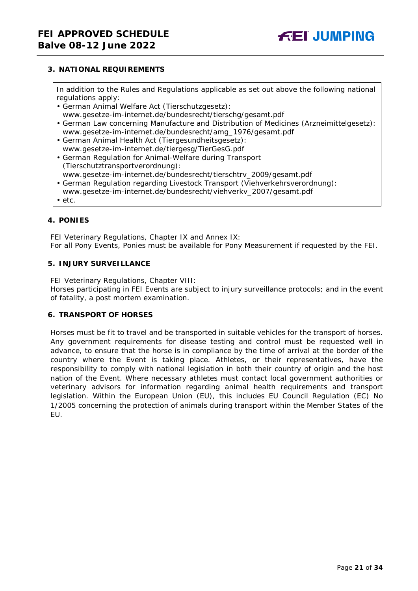# <span id="page-20-0"></span>**3. NATIONAL REQUIREMENTS**

In addition to the Rules and Regulations applicable as set out above the following national regulations apply:

- German Animal Welfare Act (Tierschutzgesetz):
- www.gesetze-im-internet.de/bundesrecht/tierschg/gesamt.pdf
- German Law concerning Manufacture and Distribution of Medicines (Arzneimittelgesetz): www.gesetze-im-internet.de/bundesrecht/amg\_1976/gesamt.pdf
- German Animal Health Act (Tiergesundheitsgesetz): www.gesetze-im-internet.de/tiergesg/TierGesG.pdf
- German Regulation for Animal-Welfare during Transport (Tierschutztransportverordnung):
- www.gesetze-im-internet.de/bundesrecht/tierschtrv\_2009/gesamt.pdf
- German Regulation regarding Livestock Transport (Viehverkehrsverordnung): www.gesetze-im-internet.de/bundesrecht/viehverkv\_2007/gesamt.pdf
- etc.

# <span id="page-20-1"></span>**4. PONIES**

FEI Veterinary Regulations, Chapter IX and Annex IX: For all Pony Events, Ponies must be available for Pony Measurement if requested by the FEI.

#### <span id="page-20-2"></span>**5. INJURY SURVEILLANCE**

FEI Veterinary Regulations, Chapter VIII:

Horses participating in FEI Events are subject to injury surveillance protocols; and in the event of fatality, a post mortem examination.

### <span id="page-20-3"></span>**6. TRANSPORT OF HORSES**

<span id="page-20-4"></span>Horses must be fit to travel and be transported in suitable vehicles for the transport of horses. Any government requirements for disease testing and control must be requested well in advance, to ensure that the horse is in compliance by the time of arrival at the border of the country where the Event is taking place. Athletes, or their representatives, have the responsibility to comply with national legislation in both their country of origin and the host nation of the Event. Where necessary athletes must contact local government authorities or veterinary advisors for information regarding animal health requirements and transport legislation. Within the European Union (EU), this includes EU Council Regulation (EC) No 1/2005 concerning the protection of animals during transport within the Member States of the EU.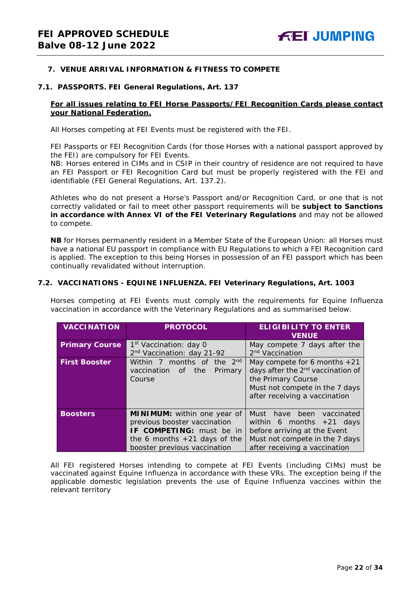### **7. VENUE ARRIVAL INFORMATION & FITNESS TO COMPETE**

#### **7.1. PASSPORTS. FEI General Regulations, Art. 137**

### **For all issues relating to FEI Horse Passports/FEI Recognition Cards please contact your National Federation.**

All Horses competing at FEI Events must be registered with the FEI.

FEI Passports or FEI Recognition Cards (for those Horses with a national passport approved by the FEI) are compulsory for FEI Events.

NB: Horses entered in CIMs and in CSIP in their country of residence are not required to have an FEI Passport or FEI Recognition Card but must be properly registered with the FEI and identifiable (FEI General Regulations, Art. 137.2).

Athletes who do not present a Horse's Passport and/or Recognition Card, or one that is not correctly validated or fail to meet other passport requirements will be **subject to Sanctions in accordance with Annex VI of the FEI Veterinary Regulations** and may not be allowed to compete.

**NB** for Horses permanently resident in a Member State of the European Union: all Horses must have a national EU passport in compliance with EU Regulations to which a FEI Recognition card is applied. The exception to this being Horses in possession of an FEI passport which has been continually revalidated without interruption.

#### **7.2. VACCINATIONS - EQUINE INFLUENZA. FEI Veterinary Regulations, Art. 1003**

Horses competing at FEI Events must comply with the requirements for Equine Influenza vaccination in accordance with the Veterinary Regulations and as summarised below.

| <b>VACCINATION</b>    | <b>PROTOCOL</b>                                                  | <b>ELIGIBILITY TO ENTER</b><br><b>VENUE</b>   |  |  |
|-----------------------|------------------------------------------------------------------|-----------------------------------------------|--|--|
| <b>Primary Course</b> | 1 <sup>st</sup> Vaccination: day 0                               | May compete 7 days after the                  |  |  |
|                       | 2 <sup>nd</sup> Vaccination: day 21-92                           | 2 <sup>nd</sup> Vaccination                   |  |  |
| <b>First Booster</b>  | 2 <sub>nd</sub><br>months of<br>Within 7<br>the                  | May compete for 6 months $+21$                |  |  |
|                       | Primary<br>vaccination of<br>the                                 | days after the 2 <sup>nd</sup> vaccination of |  |  |
|                       | Course                                                           | the Primary Course                            |  |  |
|                       |                                                                  | Must not compete in the 7 days                |  |  |
|                       |                                                                  | after receiving a vaccination                 |  |  |
|                       |                                                                  |                                               |  |  |
| <b>Boosters</b>       | MINIMUM: within one year of                                      | Must have<br>been<br>vaccinated               |  |  |
|                       | previous booster vaccination                                     | within 6 months $+21$ days                    |  |  |
|                       | IF COMPETING: must be in                                         | before arriving at the Event                  |  |  |
|                       | Must not compete in the 7 days<br>the 6 months $+21$ days of the |                                               |  |  |
|                       | booster previous vaccination<br>after receiving a vaccination    |                                               |  |  |

All FEI registered Horses intending to compete at FEI Events (including CIMs) must be vaccinated against Equine Influenza in accordance with these VRs. The exception being if the applicable domestic legislation prevents the use of Equine Influenza vaccines within the relevant territory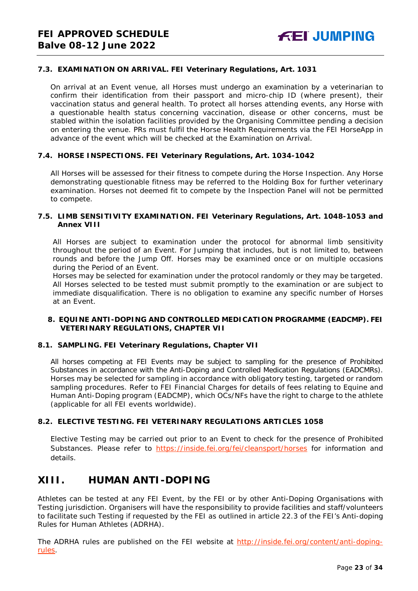## **7.3. EXAMINATION ON ARRIVAL. FEI Veterinary Regulations, Art. 1031**

On arrival at an Event venue, all Horses must undergo an examination by a veterinarian to confirm their identification from their passport and micro-chip ID (where present), their vaccination status and general health. To protect all horses attending events, any Horse with a questionable health status concerning vaccination, disease or other concerns, must be stabled within the isolation facilities provided by the Organising Committee pending a decision on entering the venue. PRs must fulfil the Horse Health Requirements via the FEI HorseApp in advance of the event which will be checked at the Examination on Arrival.

### **7.4. HORSE INSPECTIONS. FEI Veterinary Regulations, Art. 1034-1042**

All Horses will be assessed for their fitness to compete during the Horse Inspection. Any Horse demonstrating questionable fitness may be referred to the Holding Box for further veterinary examination. Horses not deemed fit to compete by the Inspection Panel will not be permitted to compete.

#### **7.5. LIMB SENSITIVITY EXAMINATION. FEI Veterinary Regulations, Art. 1048-1053 and Annex VIII**

All Horses are subject to examination under the protocol for abnormal limb sensitivity throughout the period of an Event. For Jumping that includes, but is not limited to, between rounds and before the Jump Off. Horses may be examined once or on multiple occasions during the Period of an Event.

Horses may be selected for examination under the protocol randomly or they may be targeted. All Horses selected to be tested must submit promptly to the examination or are subject to immediate disqualification. There is no obligation to examine any specific number of Horses at an Event.

#### <span id="page-22-0"></span>**8. EQUINE ANTI-DOPING AND CONTROLLED MEDICATION PROGRAMME (EADCMP). FEI VETERINARY REGULATIONS, CHAPTER VII**

#### **8.1. SAMPLING. FEI Veterinary Regulations, Chapter VII**

All horses competing at FEI Events may be subject to sampling for the presence of Prohibited Substances in accordance with the Anti-Doping and Controlled Medication Regulations (EADCMRs). Horses may be selected for sampling in accordance with obligatory testing, targeted or random sampling procedures. Refer to FEI Financial Charges for details of fees relating to Equine and Human Anti-Doping program (EADCMP), which OCs/NFs have the right to charge to the athlete (applicable for all FEI events worldwide).

#### **8.2. ELECTIVE TESTING. FEI VETERINARY REGULATIONS ARTICLES 1058**

Elective Testing may be carried out prior to an Event to check for the presence of Prohibited Substances. Please refer to <https://inside.fei.org/fei/cleansport/horses> for information and details.

# <span id="page-22-1"></span>**XIII. HUMAN ANTI-DOPING**

Athletes can be tested at any FEI Event, by the FEI or by other Anti-Doping Organisations with Testing jurisdiction. Organisers will have the responsibility to provide facilities and staff/volunteers to facilitate such Testing if requested by the FEI as outlined in article 22.3 of the FEI's Anti-doping Rules for Human Athletes (ADRHA).

The ADRHA rules are published on the FEI website at [http://inside.fei.org/content/anti-doping](http://inside.fei.org/content/anti-doping-rules)[rules.](http://inside.fei.org/content/anti-doping-rules)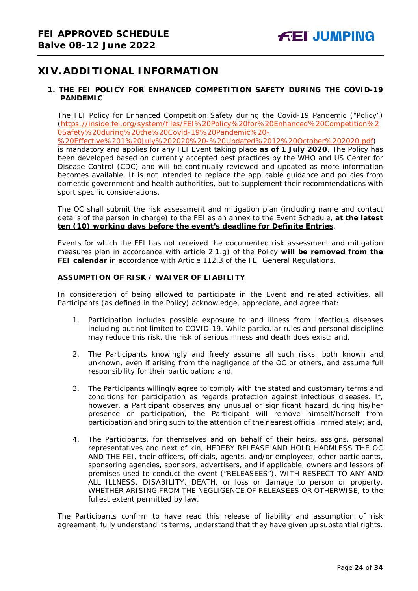# <span id="page-23-0"></span>**XIV. ADDITIONAL INFORMATION**

# <span id="page-23-1"></span>**1. THE FEI POLICY FOR ENHANCED COMPETITION SAFETY DURING THE COVID-19 PANDEMIC**

The FEI Policy for Enhanced Competition Safety during the Covid-19 Pandemic ("Policy") (https://inside.fei.org/system/files/FEI%20Policy%20for%20Enhanced%20Competition%2 0Safety%20during%20the%20Covid-19%20Pandemic%20-

%20Effective%201%20July%202020%20-%20Updated%2012%20October%202020.pdf)

is mandatory and applies for any FEI Event taking place **as of 1 July 2020**. The Policy has been developed based on currently accepted best practices by the WHO and US Center for Disease Control (CDC) and will be continually reviewed and updated as more information becomes available. It is not intended to replace the applicable guidance and policies from domestic government and health authorities, but to supplement their recommendations with sport specific considerations.

The OC shall submit the risk assessment and mitigation plan (including name and contact details of the person in charge) to the FEI as an annex to the Event Schedule, **at the latest ten (10) working days before the event's deadline for Definite Entries**.

Events for which the FEI has not received the documented risk assessment and mitigation measures plan in accordance with article 2.1.g) of the Policy **will be removed from the FEI calendar** in accordance with Article 112.3 of the FEI General Regulations.

### **ASSUMPTION OF RISK / WAIVER OF LIABILITY**

In consideration of being allowed to participate in the Event and related activities, all Participants (as defined in the Policy) acknowledge, appreciate, and agree that:

- 1. Participation includes possible exposure to and illness from infectious diseases including but not limited to COVID-19. While particular rules and personal discipline may reduce this risk, the risk of serious illness and death does exist; and,
- 2. The Participants knowingly and freely assume all such risks, both known and unknown, even if arising from the negligence of the OC or others, and assume full responsibility for their participation; and,
- 3. The Participants willingly agree to comply with the stated and customary terms and conditions for participation as regards protection against infectious diseases. If, however, a Participant observes any unusual or significant hazard during his/her presence or participation, the Participant will remove himself/herself from participation and bring such to the attention of the nearest official immediately; and,
- 4. The Participants, for themselves and on behalf of their heirs, assigns, personal representatives and next of kin, HEREBY RELEASE AND HOLD HARMLESS THE OC AND THE FEI, their officers, officials, agents, and/or employees, other participants, sponsoring agencies, sponsors, advertisers, and if applicable, owners and lessors of premises used to conduct the event ("RELEASEES"), WITH RESPECT TO ANY AND ALL ILLNESS, DISABILITY, DEATH, or loss or damage to person or property, WHETHER ARISING FROM THE NEGLIGENCE OF RELEASEES OR OTHERWISE, to the fullest extent permitted by law.

<span id="page-23-2"></span>The Participants confirm to have read this release of liability and assumption of risk agreement, fully understand its terms, understand that they have given up substantial rights.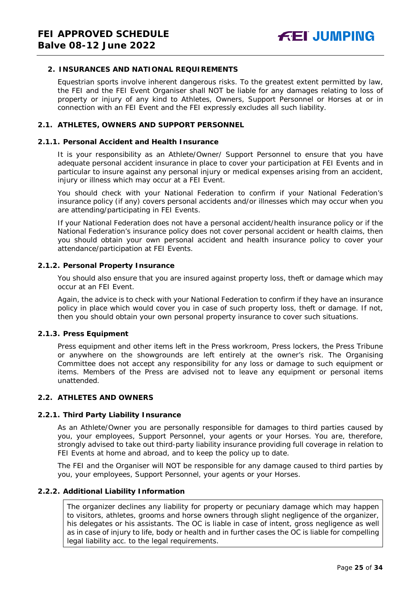### **2. INSURANCES AND NATIONAL REQUIREMENTS**

Equestrian sports involve inherent dangerous risks. To the greatest extent permitted by law, the FEI and the FEI Event Organiser shall NOT be liable for any damages relating to loss of property or injury of any kind to Athletes, Owners, Support Personnel or Horses at or in connection with an FEI Event and the FEI expressly excludes all such liability.

#### **2.1. ATHLETES, OWNERS AND SUPPORT PERSONNEL**

#### **2.1.1. Personal Accident and Health Insurance**

It is your responsibility as an Athlete/Owner/ Support Personnel to ensure that you have adequate personal accident insurance in place to cover your participation at FEI Events and in particular to insure against any personal injury or medical expenses arising from an accident, injury or illness which may occur at a FEI Event.

You should check with your National Federation to confirm if your National Federation's insurance policy (if any) covers personal accidents and/or illnesses which may occur when you are attending/participating in FEI Events.

If your National Federation does not have a personal accident/health insurance policy or if the National Federation's insurance policy does not cover personal accident or health claims, then you should obtain your own personal accident and health insurance policy to cover your attendance/participation at FEI Events.

#### **2.1.2. Personal Property Insurance**

You should also ensure that you are insured against property loss, theft or damage which may occur at an FEI Event.

Again, the advice is to check with your National Federation to confirm if they have an insurance policy in place which would cover you in case of such property loss, theft or damage. If not, then you should obtain your own personal property insurance to cover such situations.

### **2.1.3. Press Equipment**

Press equipment and other items left in the Press workroom, Press lockers, the Press Tribune or anywhere on the showgrounds are left entirely at the owner's risk. The Organising Committee does not accept any responsibility for any loss or damage to such equipment or items. Members of the Press are advised not to leave any equipment or personal items unattended.

### **2.2. ATHLETES AND OWNERS**

#### **2.2.1. Third Party Liability Insurance**

As an Athlete/Owner you are personally responsible for damages to third parties caused by you, your employees, Support Personnel, your agents or your Horses. You are, therefore, strongly advised to take out third-party liability insurance providing full coverage in relation to FEI Events at home and abroad, and to keep the policy up to date.

The FEI and the Organiser will NOT be responsible for any damage caused to third parties by you, your employees, Support Personnel, your agents or your Horses.

#### **2.2.2. Additional Liability Information**

The organizer declines any liability for property or pecuniary damage which may happen to visitors, athletes, grooms and horse owners through slight negligence of the organizer, his delegates or his assistants. The OC is liable in case of intent, gross negligence as well as in case of injury to life, body or health and in further cases the OC is liable for compelling legal liability acc. to the legal requirements.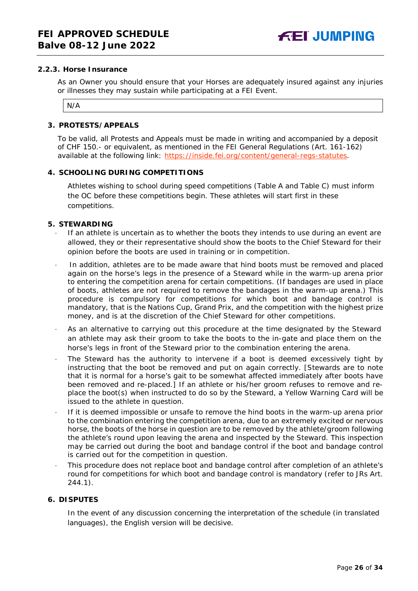#### **2.2.3. Horse Insurance**

As an Owner you should ensure that your Horses are adequately insured against any injuries or illnesses they may sustain while participating at a FEI Event.

N/A

#### <span id="page-25-0"></span>**3. PROTESTS/APPEALS**

To be valid, all Protests and Appeals must be made in writing and accompanied by a deposit of CHF 150.- or equivalent, as mentioned in the FEI General Regulations (Art. 161-162) available at the following link: [https://inside.fei.org/content/general-regs-statutes.](https://inside.fei.org/content/general-regs-statutes)

#### <span id="page-25-1"></span>**4. SCHOOLING DURING COMPETITIONS**

Athletes wishing to school during speed competitions (Table A and Table C) must inform the OC before these competitions begin. These athletes will start first in these competitions.

#### <span id="page-25-2"></span>**5. STEWARDING**

- If an athlete is uncertain as to whether the boots they intends to use during an event are allowed, they or their representative should show the boots to the Chief Steward for their opinion before the boots are used in training or in competition.
- In addition, athletes are to be made aware that hind boots must be removed and placed again on the horse's legs in the presence of a Steward while in the warm-up arena prior to entering the competition arena for certain competitions. (If bandages are used in place of boots, athletes are not required to remove the bandages in the warm-up arena.) This procedure is compulsory for competitions for which boot and bandage control is mandatory, that is the Nations Cup, Grand Prix, and the competition with the highest prize money, and is at the discretion of the Chief Steward for other competitions.
- As an alternative to carrying out this procedure at the time designated by the Steward an athlete may ask their groom to take the boots to the in-gate and place them on the horse's legs in front of the Steward prior to the combination entering the arena.
- The Steward has the authority to intervene if a boot is deemed excessively tight by instructing that the boot be removed and put on again correctly. *[Stewards are to note that it is normal for a horse's gait to be somewhat affected immediately after boots have been removed and re-placed.]* If an athlete or his/her groom refuses to remove and replace the boot(s) when instructed to do so by the Steward, a Yellow Warning Card will be issued to the athlete in question.
- If it is deemed impossible or unsafe to remove the hind boots in the warm-up arena prior to the combination entering the competition arena, due to an extremely excited or nervous horse, the boots of the horse in question are to be removed by the athlete/groom following the athlete's round upon leaving the arena and inspected by the Steward. This inspection may be carried out during the boot and bandage control if the boot and bandage control is carried out for the competition in question.
- · This procedure does not replace boot and bandage control after completion of an athlete's round for competitions for which boot and bandage control is mandatory (refer to JRs Art. 244.1).

#### <span id="page-25-3"></span>**6. DISPUTES**

In the event of any discussion concerning the interpretation of the schedule (in translated languages), the English version will be decisive.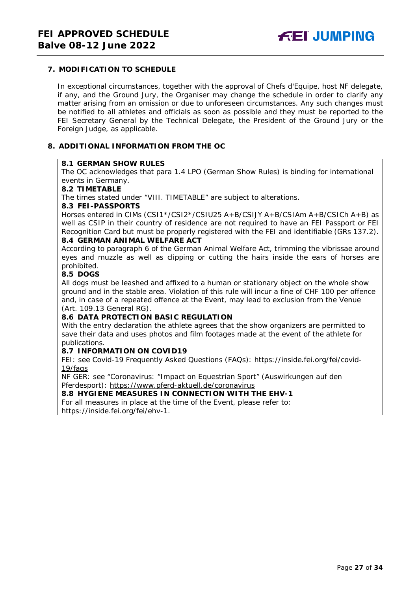## <span id="page-26-0"></span>**7. MODIFICATION TO SCHEDULE**

In exceptional circumstances, together with the approval of Chefs d'Equipe, host NF delegate, if any, and the Ground Jury, the Organiser may change the schedule in order to clarify any matter arising from an omission or due to unforeseen circumstances. Any such changes must be notified to all athletes and officials as soon as possible and they must be reported to the FEI Secretary General by the Technical Delegate, the President of the Ground Jury or the Foreign Judge, as applicable.

#### <span id="page-26-1"></span>**8. ADDITIONAL INFORMATION FROM THE OC**

#### **8.1 GERMAN SHOW RULES**

The OC acknowledges that para 1.4 LPO (German Show Rules) is binding for international events in Germany.

#### **8.2 TIMETABLE**

The times stated under "VIII. TIMETABLE" are subject to alterations.

#### **8.3 FEI-PASSPORTS**

Horses entered in CIMs (CSI1\*/CSI2\*/CSIU25 A+B/CSIJY A+B/CSIAm A+B/CSICh A+B) as well as CSIP in their country of residence are not required to have an FEI Passport or FEI Recognition Card but must be properly registered with the FEI and identifiable (GRs 137.2).

### **8.4 GERMAN ANIMAL WELFARE ACT**

According to paragraph 6 of the German Animal Welfare Act, trimming the vibrissae around eyes and muzzle as well as clipping or cutting the hairs inside the ears of horses are prohibited.

# **8.5 DOGS**

All dogs must be leashed and affixed to a human or stationary object on the whole show ground and in the stable area. Violation of this rule will incur a fine of CHF 100 per offence and, in case of a repeated offence at the Event, may lead to exclusion from the Venue (Art. 109.13 General RG).

### **8.6 DATA PROTECTION BASIC REGULATION**

With the entry declaration the athlete agrees that the show organizers are permitted to save their data and uses photos and film footages made at the event of the athlete for publications.

# **8.7 INFORMATION ON COVID19**

FEI: see Covid-19 Frequently Asked Questions (FAQs): https://inside.fei.org/fei/covid-19/faqs

NF GER: see "Coronavirus: "Impact on Equestrian Sport" (Auswirkungen auf den Pferdesport): https://www.pferd-aktuell.de/coronavirus

### **8.8 HYGIENE MEASURES IN CONNECTION WITH THE EHV-1**

For all measures in place at the time of the Event, please refer to: https://inside.fei.org/fei/ehv-1.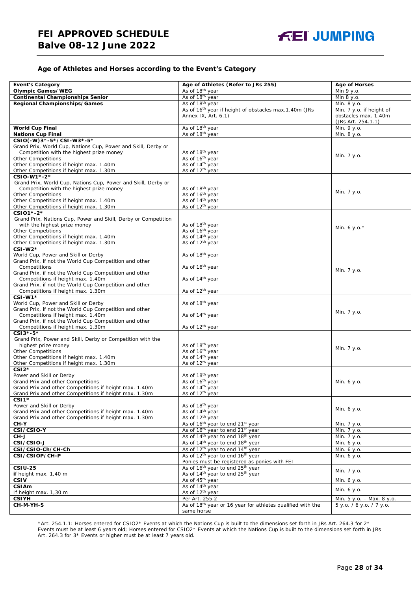#### **Age of Athletes and Horses according to the Event's Category**

| <b>Event's Category</b>                                                                       | Age of Athletes (Refer to JRs 255)                                                                                   | <b>Age of Horses</b>      |
|-----------------------------------------------------------------------------------------------|----------------------------------------------------------------------------------------------------------------------|---------------------------|
| <b>Olympic Games/WEG</b>                                                                      | As of 18 <sup>th</sup> year                                                                                          | Min 9 y.o.                |
| <b>Continental Championships Senior</b>                                                       | As of 18 <sup>th</sup> year                                                                                          | Min 8 y.o.                |
| <b>Regional Championships/Games</b>                                                           | As of 18 <sup>th</sup> year                                                                                          | Min. 8 y.o.               |
|                                                                                               | As of 16 <sup>th</sup> year if height of obstacles max.1.40m (JRs                                                    | Min. 7 y.o. if height of  |
|                                                                                               | Annex IX, Art. 6.1)                                                                                                  | obstacles max. 1.40m      |
|                                                                                               |                                                                                                                      | (JRs Art. 254.1.1)        |
| <b>World Cup Final</b>                                                                        | As of 18th year                                                                                                      | Min. 9 y.o.               |
| <b>Nations Cup Final</b>                                                                      | As of 18th year                                                                                                      | Min. 8 y.o.               |
| CSIO(-W)3*-5*/CSI-W3*-5*                                                                      |                                                                                                                      |                           |
| Grand Prix, World Cup, Nations Cup, Power and Skill, Derby or                                 |                                                                                                                      |                           |
| Competition with the highest prize money                                                      | As of 18 <sup>th</sup> year                                                                                          | Min. 7 y.o.               |
| <b>Other Competitions</b>                                                                     | As of 16th year                                                                                                      |                           |
| Other Competitions if height max. 1.40m<br>Other Competitions if height max. 1.30m            | As of 14 <sup>th</sup> year<br>As of 12 <sup>th</sup> year                                                           |                           |
| CSIO-W1*-2*                                                                                   |                                                                                                                      |                           |
| Grand Prix, World Cup, Nations Cup, Power and Skill, Derby or                                 |                                                                                                                      |                           |
| Competition with the highest prize money                                                      | As of 18 <sup>th</sup> year                                                                                          |                           |
| <b>Other Competitions</b>                                                                     | As of 16 <sup>th</sup> year                                                                                          | Min. 7 y.o.               |
| Other Competitions if height max. 1.40m                                                       | As of 14 <sup>th</sup> year                                                                                          |                           |
| Other Competitions if height max. 1.30m                                                       | As of 12 <sup>th</sup> year                                                                                          |                           |
| CSI01*-2*                                                                                     |                                                                                                                      |                           |
| Grand Prix, Nations Cup, Power and Skill, Derby or Competition                                |                                                                                                                      |                           |
| with the highest prize money                                                                  | As of 18 <sup>th</sup> year                                                                                          |                           |
| <b>Other Competitions</b>                                                                     | As of 16 <sup>th</sup> year                                                                                          | Min. 6 y.o. $*$           |
| Other Competitions if height max. 1.40m                                                       | As of 14 <sup>th</sup> year                                                                                          |                           |
| Other Competitions if height max. 1.30m                                                       | As of 12 <sup>th</sup> year                                                                                          |                           |
| $CSI-W2*$                                                                                     |                                                                                                                      |                           |
| World Cup, Power and Skill or Derby                                                           | As of 18th year                                                                                                      |                           |
| Grand Prix, if not the World Cup Competition and other                                        |                                                                                                                      |                           |
| Competitions                                                                                  | As of 16 <sup>th</sup> year                                                                                          | Min. 7 y.o.               |
| Grand Prix, if not the World Cup Competition and other                                        |                                                                                                                      |                           |
| Competitions if height max. 1.40m                                                             | As of 14 <sup>th</sup> year                                                                                          |                           |
| Grand Prix, if not the World Cup Competition and other                                        |                                                                                                                      |                           |
| Competitions if height max. 1.30m                                                             | As of 12 <sup>th</sup> year                                                                                          |                           |
| $CSI-W1*$                                                                                     | As of 18 <sup>th</sup> year                                                                                          |                           |
| World Cup, Power and Skill or Derby<br>Grand Prix, if not the World Cup Competition and other |                                                                                                                      |                           |
| Competitions if height max. 1.40m                                                             | As of 14 <sup>th</sup> year                                                                                          | Min. 7 y.o.               |
| Grand Prix, if not the World Cup Competition and other                                        |                                                                                                                      |                           |
| Competitions if height max. 1.30m                                                             | As of 12 <sup>th</sup> year                                                                                          |                           |
| CSI3*-5*                                                                                      |                                                                                                                      |                           |
| Grand Prix, Power and Skill, Derby or Competition with the                                    |                                                                                                                      |                           |
| highest prize money                                                                           | As of 18th year                                                                                                      |                           |
| <b>Other Competitions</b>                                                                     | As of 16 <sup>th</sup> year                                                                                          | Min. 7 y.o.               |
| Other Competitions if height max. 1.40m                                                       | As of 14 <sup>th</sup> year                                                                                          |                           |
| Other Competitions if height max. 1.30m                                                       | As of 12 <sup>th</sup> year                                                                                          |                           |
| $CSI2*$                                                                                       |                                                                                                                      |                           |
| Power and Skill or Derby                                                                      | As of 18th year                                                                                                      |                           |
| Grand Prix and other Competitions                                                             | As of 16 <sup>th</sup> year                                                                                          | Min. 6 y.o.               |
| Grand Prix and other Competitions if height max. 1.40m                                        | As of 14 <sup>th</sup> year                                                                                          |                           |
| Grand Prix and other Competitions if height max. 1.30m                                        | As of 12 <sup>th</sup> vear                                                                                          |                           |
| $CSI1*$                                                                                       |                                                                                                                      |                           |
| Power and Skill or Derby                                                                      | As of 18 <sup>th</sup> year                                                                                          | Min. 6 y.o.               |
| Grand Prix and other Competitions if height max. 1.40m                                        | As of 14 <sup>th</sup> year                                                                                          |                           |
| Grand Prix and other Competitions if height max. 1.30m                                        | As of 12 <sup>th</sup> year                                                                                          |                           |
| CH-Y                                                                                          | As of 16 <sup>th</sup> year to end 21 <sup>st</sup> year                                                             | Min. 7 y.o.               |
| CSI/CSIO-Y                                                                                    | As of 16 <sup>th</sup> year to end 21 <sup>st</sup> year                                                             | Min. 7 y.o.               |
| CH-J                                                                                          | As of 14 <sup>th</sup> year to end 18 <sup>th</sup> year<br>As of 14 <sup>th</sup> year to end 18 <sup>th</sup> year | Min. 7 y.o.               |
| CSI/CSIO-J                                                                                    |                                                                                                                      | Min. 6 y.o.               |
| CSI/CSIO-Ch/CH-Ch<br>CSI/CSIOP/CH-P                                                           | As of 12 <sup>th</sup> year to end 14 <sup>th</sup> year<br>As of 12 <sup>th</sup> year to end 16 <sup>th</sup> year | Min. 6 y.o.               |
|                                                                                               | Ponies must be registered as ponies with FEI                                                                         | Min. 6 y.o.               |
| <b>CSIU-25</b>                                                                                | As of 16 <sup>th</sup> year to end 25 <sup>th</sup> year                                                             |                           |
| if height max. 1,40 m                                                                         | As of 14 <sup>th</sup> year to end 25 <sup>th</sup> year                                                             | Min. 7 y.o.               |
| <b>CSIV</b>                                                                                   | As of 45 <sup>th</sup> year                                                                                          | Min. 6 y.o.               |
| CSIAm                                                                                         | As of 14 <sup>th</sup> year                                                                                          |                           |
| If height max. 1,30 m                                                                         | As of 12 <sup>th</sup> year                                                                                          | Min. 6 y.o.               |
| <b>CSIYH</b>                                                                                  | Per Art. 255.2                                                                                                       | Min. 5 y.o. - Max. 8 y.o. |
| CH-M-YH-S                                                                                     | As of 18 <sup>th</sup> year or 16 year for athletes qualified with the                                               | 5 y.o. / 6 y.o. / 7 y.o.  |
|                                                                                               | same horse                                                                                                           |                           |

\*Art. 254.1.1: Horses entered for CSIO2\* Events at which the Nations Cup is built to the dimensions set forth in JRs Art. 264.3 for 2\* Events must be at least 6 years old; Horses entered for CSIO2\* Events at which the Nations Cup is built to the dimensions set forth in JRs Art. 264.3 for 3\* Events or higher must be at least 7 years old.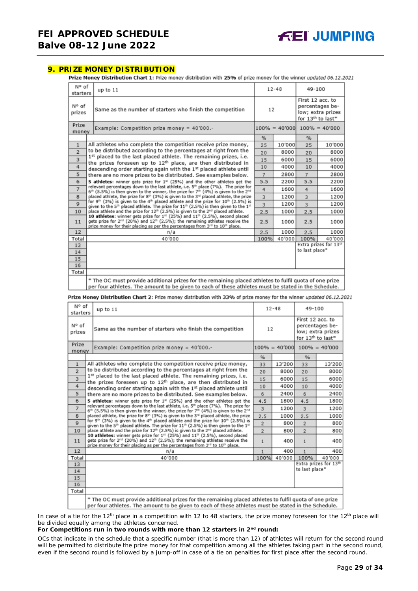### <span id="page-28-0"></span>**9. PRIZE MONEY DISTRIBUTION**

Prize Money Distribution Chart 1: Prize money distribution with 25% of prize money for the winner updated 06.12.2021

| N° of<br>starters                                                                                                                                                                                             | up to 11                                                                                                                                                                                                                                                                                                                                                                                                                                                                                                                                                                                                                              | $12 - 48$ |        | 49-100                                                                                    |                                   |
|---------------------------------------------------------------------------------------------------------------------------------------------------------------------------------------------------------------|---------------------------------------------------------------------------------------------------------------------------------------------------------------------------------------------------------------------------------------------------------------------------------------------------------------------------------------------------------------------------------------------------------------------------------------------------------------------------------------------------------------------------------------------------------------------------------------------------------------------------------------|-----------|--------|-------------------------------------------------------------------------------------------|-----------------------------------|
| N° of<br>prizes                                                                                                                                                                                               | Same as the number of starters who finish the competition                                                                                                                                                                                                                                                                                                                                                                                                                                                                                                                                                                             | 12        |        | First 12 acc. to<br>percentages be-<br>low; extra prizes<br>for 13 <sup>th</sup> to last* |                                   |
| Prize<br>money                                                                                                                                                                                                | Example: Competition prize money = $40'000$ .-                                                                                                                                                                                                                                                                                                                                                                                                                                                                                                                                                                                        |           |        |                                                                                           | $100\% = 40'000$ $100\% = 40'000$ |
|                                                                                                                                                                                                               |                                                                                                                                                                                                                                                                                                                                                                                                                                                                                                                                                                                                                                       | %         |        | %                                                                                         |                                   |
| $\mathbf{1}$                                                                                                                                                                                                  | All athletes who complete the competition receive prize money,                                                                                                                                                                                                                                                                                                                                                                                                                                                                                                                                                                        | 25        | 10'000 | 25                                                                                        | 10'000                            |
| $\overline{2}$                                                                                                                                                                                                | to be distributed according to the percentages at right from the                                                                                                                                                                                                                                                                                                                                                                                                                                                                                                                                                                      | 20        | 8000   | 20                                                                                        | 8000                              |
| 3                                                                                                                                                                                                             | 1st placed to the last placed athlete. The remaining prizes, i.e.<br>the prizes foreseen up to 12 <sup>th</sup> place, are then distributed in                                                                                                                                                                                                                                                                                                                                                                                                                                                                                        | 15        | 6000   | 15                                                                                        | 6000                              |
| 4                                                                                                                                                                                                             | descending order starting again with the 1st placed athlete until                                                                                                                                                                                                                                                                                                                                                                                                                                                                                                                                                                     | 10        | 4000   | 10                                                                                        | 4000                              |
| 5                                                                                                                                                                                                             | there are no more prizes to be distributed. See examples below.                                                                                                                                                                                                                                                                                                                                                                                                                                                                                                                                                                       | 7         | 2800   | $\overline{7}$                                                                            | 2800                              |
| 6                                                                                                                                                                                                             | 5 athletes: winner gets prize for 1 <sup>#</sup> (25%) and the other athletes get the<br>relevant percentages down to the last athlete, i.e. 5th place (7%). The prize for<br>$\overline{7}$<br>$6th$ (5.5%) is then given to the winner, the prize for 7 <sup>th</sup> (4%) is given to the 2 <sup>nd</sup>                                                                                                                                                                                                                                                                                                                          |           |        | 5.5                                                                                       | 2200                              |
|                                                                                                                                                                                                               |                                                                                                                                                                                                                                                                                                                                                                                                                                                                                                                                                                                                                                       |           |        | 4                                                                                         | 1600                              |
| placed athlete, the prize for 8th (3%) is given to the 3rd placed athlete, the prize<br>8                                                                                                                     |                                                                                                                                                                                                                                                                                                                                                                                                                                                                                                                                                                                                                                       | 3         | 1200   | 3                                                                                         | 1200                              |
| $\mathbf{Q}$                                                                                                                                                                                                  | for 9 <sup>th</sup> (3%) is given to the 4 <sup>th</sup> placed athlete and the prize for 10 <sup>th</sup> (2.5%) is<br>given to the 5 <sup>th</sup> placed athlete. The prize for $11th$ (2.5%) is then given to the $1th$<br>place athlete and the prize for 12 <sup>th</sup> (2.5%) is given to the 2 <sup>nd</sup> placed athlete.<br>10<br>10 athletes: winner gets prize for 1st (25%) and 11th (2.5%), second placed<br>gets prize for 2 <sup>nd</sup> (20%) and 12 <sup>th</sup> (2.5%); the remaining athletes receive the<br>11<br>prize money for their placing as per the percentages from 3rd to 10 <sup>th</sup> place. |           | 1200   | $\overline{3}$                                                                            | 1200                              |
|                                                                                                                                                                                                               |                                                                                                                                                                                                                                                                                                                                                                                                                                                                                                                                                                                                                                       |           | 1000   | 2.5                                                                                       | 1000                              |
|                                                                                                                                                                                                               |                                                                                                                                                                                                                                                                                                                                                                                                                                                                                                                                                                                                                                       |           | 1000   | 2.5                                                                                       | 1000                              |
| 12                                                                                                                                                                                                            | n/a                                                                                                                                                                                                                                                                                                                                                                                                                                                                                                                                                                                                                                   | 2.5       | 1000   | 2.5                                                                                       | 1000                              |
| Total                                                                                                                                                                                                         | 40'000                                                                                                                                                                                                                                                                                                                                                                                                                                                                                                                                                                                                                                | 100%      | 40'000 | 100%                                                                                      | 40'000                            |
| 13                                                                                                                                                                                                            |                                                                                                                                                                                                                                                                                                                                                                                                                                                                                                                                                                                                                                       |           |        |                                                                                           | Extra prizes for 13th             |
| 14                                                                                                                                                                                                            |                                                                                                                                                                                                                                                                                                                                                                                                                                                                                                                                                                                                                                       |           |        | to last place*                                                                            |                                   |
| 15                                                                                                                                                                                                            |                                                                                                                                                                                                                                                                                                                                                                                                                                                                                                                                                                                                                                       |           |        |                                                                                           |                                   |
| 16                                                                                                                                                                                                            |                                                                                                                                                                                                                                                                                                                                                                                                                                                                                                                                                                                                                                       |           |        |                                                                                           |                                   |
| Total                                                                                                                                                                                                         |                                                                                                                                                                                                                                                                                                                                                                                                                                                                                                                                                                                                                                       |           |        |                                                                                           |                                   |
| * The OC must provide additional prizes for the remaining placed athletes to fulfil quota of one prize<br>per four athletes. The amount to be given to each of these athletes must be stated in the Schedule. |                                                                                                                                                                                                                                                                                                                                                                                                                                                                                                                                                                                                                                       |           |        |                                                                                           |                                   |

Prize Money Distribution Chart 2: Prize money distribution with 33% of prize money for the winner updated 06.12.2021

| N° of<br>starters | up to $11$                                                                                                                                                                                                                                                          |                | $12 - 48$        | 49-100           |                                                                       |
|-------------------|---------------------------------------------------------------------------------------------------------------------------------------------------------------------------------------------------------------------------------------------------------------------|----------------|------------------|------------------|-----------------------------------------------------------------------|
| N° of<br>prizes   | Same as the number of starters who finish the competition                                                                                                                                                                                                           | 12             |                  | First 12 acc. to | percentages be-<br>low; extra prizes<br>for 13 <sup>th</sup> to last* |
| Prize<br>money    | Example: Competition prize money = 40'000.-                                                                                                                                                                                                                         |                | $100\% = 40'000$ |                  | $100\% = 40'000$                                                      |
|                   |                                                                                                                                                                                                                                                                     | $\frac{9}{6}$  |                  | %                |                                                                       |
| $\mathbf{1}$      | All athletes who complete the competition receive prize money,                                                                                                                                                                                                      | 33             | 13'200           | 33               | 13'200                                                                |
| $\overline{2}$    | to be distributed according to the percentages at right from the                                                                                                                                                                                                    | 20             | 8000             | 20               | 8000                                                                  |
| 3                 | 1st placed to the last placed athlete. The remaining prizes, i.e.<br>the prizes foreseen up to 12 <sup>th</sup> place, are then distributed in                                                                                                                      | 15             | 6000             | 15               | 6000                                                                  |
| 4                 | descending order starting again with the 1st placed athlete until                                                                                                                                                                                                   | 10             | 4000             | 10               | 4000                                                                  |
| 5                 | there are no more prizes to be distributed. See examples below.                                                                                                                                                                                                     | 6              | 2400             | 6                | 2400                                                                  |
| 6                 | 5 athletes: winner gets prize for $1\mu$ (25%) and the other athletes get the                                                                                                                                                                                       | 4.5            | 1800             | 4.5              | 1800                                                                  |
| $\overline{7}$    | relevant percentages down to the last athlete, i.e. 5th place (7%). The prize for<br>6 <sup>th</sup> (5.5%) is then given to the winner, the prize for 7 <sup>th</sup> (4%) is given to the 2 <sup>nd</sup>                                                         | 3              | 1200             | 3                | 1200                                                                  |
| 8                 | placed athlete, the prize for 8th (3%) is given to the 3 <sup>rd</sup> placed athlete, the prize                                                                                                                                                                    | 2.5            | 1000             | 2.5              | 1000                                                                  |
| $\mathbf Q$       | for 9 <sup>th</sup> (3%) is given to the 4 <sup>th</sup> placed athlete and the prize for 10 <sup>th</sup> (2.5%) is<br>given to the 5 <sup>th</sup> placed athlete. The prize for $11th$ (2.5%) is then given to the $1st$                                         | $\overline{2}$ | 800              | $\overline{2}$   | 800                                                                   |
| 10                | place athlete and the prize for 12 <sup>th</sup> (2.5%) is given to the 2 <sup>nd</sup> placed athlete.                                                                                                                                                             | $\overline{2}$ | 800              | $\overline{2}$   | 800                                                                   |
| 11                | 10 athletes: winner gets prize for 1st (25%) and 11th (2.5%), second placed<br>gets prize for 2 <sup>nd</sup> (20%) and 12 <sup>th</sup> (2.5%); the remaining athletes receive the<br>prize money for their placing as per the percentages from 3rd to 10th place. | $\mathbf{1}$   | 400              | $\mathbf{1}$     | 400                                                                   |
| 12                | n/a                                                                                                                                                                                                                                                                 | $\mathbf{1}$   | 400              | $\mathbf{1}$     | 400                                                                   |
| Total             | 40'000                                                                                                                                                                                                                                                              | 100%           | 40'000           | 100%             | 40'000                                                                |
| 13                |                                                                                                                                                                                                                                                                     |                |                  |                  | Extra prizes for 13th                                                 |
| 14                |                                                                                                                                                                                                                                                                     |                |                  | to last place*   |                                                                       |
| 15                |                                                                                                                                                                                                                                                                     |                |                  |                  |                                                                       |
| 16                |                                                                                                                                                                                                                                                                     |                |                  |                  |                                                                       |
| Total             |                                                                                                                                                                                                                                                                     |                |                  |                  |                                                                       |
|                   | * The OC must provide additional prizes for the remaining placed athletes to fulfil quota of one prize<br>per four athletes. The amount to be given to each of these athletes must be stated in the Schedule.                                                       |                |                  |                  |                                                                       |

In case of a tie for the 12<sup>th</sup> place in a competition with 12 to 48 starters, the prize money foreseen for the 12<sup>th</sup> place will be divided equally among the athletes concerned.

#### For Competitions run in two rounds with more than 12 starters in 2<sup>nd</sup> round:

*OCs that indicate in the schedule that a specific number (that is more than 12) of athletes will return for the second round will be permitted to distribute the prize money for that competition among all the athletes taking part in the second round, even if the second round is followed by a jump-off in case of a tie on penalties for first place after the second round.*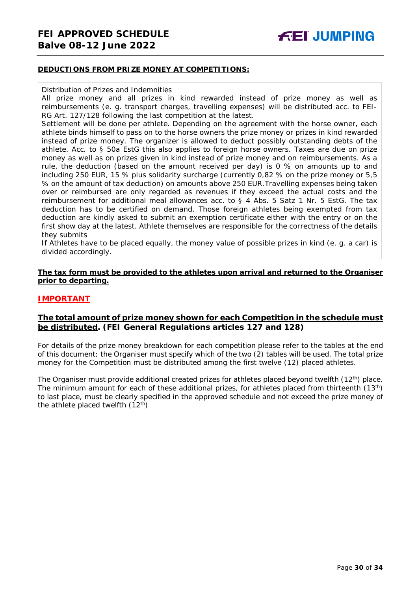#### **DEDUCTIONS FROM PRIZE MONEY AT COMPETITIONS:**

#### Distribution of Prizes and Indemnities

All prize money and all prizes in kind rewarded instead of prize money as well as reimbursements (e. g. transport charges, travelling expenses) will be distributed acc. to FEI-RG Art. 127/128 following the last competition at the latest.

Settlement will be done per athlete. Depending on the agreement with the horse owner, each athlete binds himself to pass on to the horse owners the prize money or prizes in kind rewarded instead of prize money. The organizer is allowed to deduct possibly outstanding debts of the athlete. Acc. to § 50a EstG this also applies to foreign horse owners. Taxes are due on prize money as well as on prizes given in kind instead of prize money and on reimbursements. As a rule, the deduction (based on the amount received per day) is 0 % on amounts up to and including 250 EUR, 15 % plus solidarity surcharge (currently 0,82 % on the prize money or 5,5 % on the amount of tax deduction) on amounts above 250 EUR.Travelling expenses being taken over or reimbursed are only regarded as revenues if they exceed the actual costs and the reimbursement for additional meal allowances acc. to § 4 Abs. 5 Satz 1 Nr. 5 EstG. The tax deduction has to be certified on demand. Those foreign athletes being exempted from tax deduction are kindly asked to submit an exemption certificate either with the entry or on the first show day at the latest. Athlete themselves are responsible for the correctness of the details they submits

If Athletes have to be placed equally, the money value of possible prizes in kind (e. g. a car) is divided accordingly.

#### **The tax form must be provided to the athletes upon arrival and returned to the Organiser prior to departing.**

# **IMPORTANT**

# **The total amount of prize money shown for each Competition in the schedule must be distributed. (FEI General Regulations articles 127 and 128)**

For details of the prize money breakdown for each competition please refer to the tables at the end of this document; the Organiser must specify which of the two (2) tables will be used. The total prize money for the Competition must be distributed among the first twelve (12) placed athletes.

<span id="page-29-0"></span>The Organiser must provide additional created prizes for athletes placed beyond twelfth (12<sup>th</sup>) place. The minimum amount for each of these additional prizes, for athletes placed from thirteenth (13th) to last place, must be clearly specified in the approved schedule and not exceed the prize money of the athlete placed twelfth  $(12<sup>th</sup>)$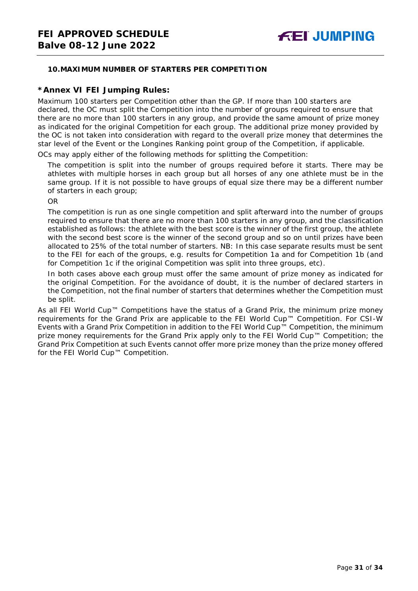# **10.MAXIMUM NUMBER OF STARTERS PER COMPETITION**

### **\*Annex VI FEI Jumping Rules:**

Maximum 100 starters per Competition other than the GP. If more than 100 starters are declared, the OC must split the Competition into the number of groups required to ensure that there are no more than 100 starters in any group, and provide the same amount of prize money as indicated for the original Competition for each group. The additional prize money provided by the OC is not taken into consideration with regard to the overall prize money that determines the star level of the Event or the Longines Ranking point group of the Competition, if applicable.

OCs may apply either of the following methods for splitting the Competition:

The competition is split into the number of groups required before it starts. There may be athletes with multiple horses in each group but all horses of any one athlete must be in the same group. If it is not possible to have groups of equal size there may be a different number of starters in each group;

OR

The competition is run as one single competition and split afterward into the number of groups required to ensure that there are no more than 100 starters in any group, and the classification established as follows: the athlete with the best score is the winner of the first group, the athlete with the second best score is the winner of the second group and so on until prizes have been allocated to 25% of the total number of starters. *NB: In this case separate results must be sent to the FEI for each of the groups, e.g. results for Competition 1a and for Competition 1b (and for Competition 1c if the original Competition was split into three groups, etc).*

In both cases above each group must offer the same amount of prize money as indicated for the original Competition. For the avoidance of doubt, it is the number of declared starters in the Competition, not the final number of starters that determines whether the Competition must be split.

<span id="page-30-0"></span>As all FEI World Cup™ Competitions have the status of a Grand Prix, the minimum prize money requirements for the Grand Prix are applicable to the FEI World Cup™ Competition. For CSI-W Events with a Grand Prix Competition in addition to the FEI World Cup™ Competition, the minimum prize money requirements for the Grand Prix apply only to the FEI World Cup™ Competition; the Grand Prix Competition at such Events cannot offer more prize money than the prize money offered for the FEI World Cup™ Competition.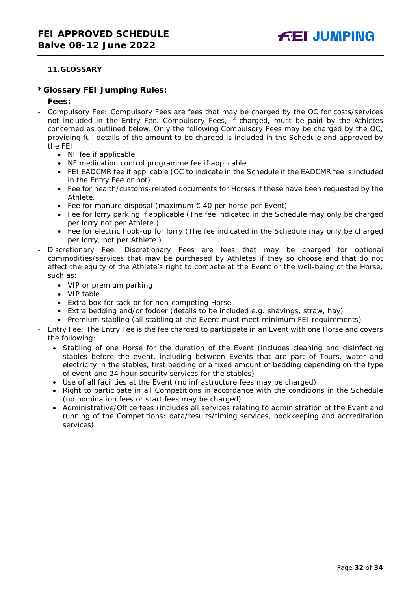# **11.GLOSSARY**

### **\*Glossary FEI Jumping Rules:**

#### **Fees:**

- Compulsory Fee: Compulsory Fees are fees that may be charged by the OC for costs/services not included in the Entry Fee. Compulsory Fees, if charged, must be paid by the Athletes concerned as outlined below. Only the following Compulsory Fees may be charged by the OC, providing full details of the amount to be charged is included in the Schedule and approved by the FEI:
	- NF fee if applicable
	- NF medication control programme fee if applicable
	- FEI EADCMR fee if applicable (OC to indicate in the Schedule if the EADCMR fee is included in the Entry Fee or not)
	- Fee for health/customs-related documents for Horses if these have been requested by the Athlete.
	- Fee for manure disposal (maximum  $\epsilon$  40 per horse per Event)
	- Fee for lorry parking if applicable (The fee indicated in the Schedule may only be charged per lorry not per Athlete.)
	- Fee for electric hook-up for lorry (The fee indicated in the Schedule may only be charged per lorry, not per Athlete.)
- Discretionary Fee: Discretionary Fees are fees that may be charged for optional commodities/services that may be purchased by Athletes if they so choose and that do not affect the equity of the Athlete's right to compete at the Event or the well-being of the Horse, such as:
	- VIP or premium parking
	- VIP table
	- Extra box for tack or for non-competing Horse
	- Extra bedding and/or fodder (details to be included e.g. shavings, straw, hay)
	- Premium stabling (all stabling at the Event must meet minimum FEI requirements)
- Entry Fee: The Entry Fee is the fee charged to participate in an Event with one Horse and covers the following:
	- Stabling of one Horse for the duration of the Event (includes cleaning and disinfecting stables before the event, including between Events that are part of Tours, water and electricity in the stables, first bedding or a fixed amount of bedding depending on the type of event and 24 hour security services for the stables)
	- Use of all facilities at the Event (no infrastructure fees may be charged)
	- Right to participate in all Competitions in accordance with the conditions in the Schedule (no nomination fees or start fees may be charged)
	- Administrative/Office fees (includes all services relating to administration of the Event and running of the Competitions: data/results/timing services, bookkeeping and accreditation services)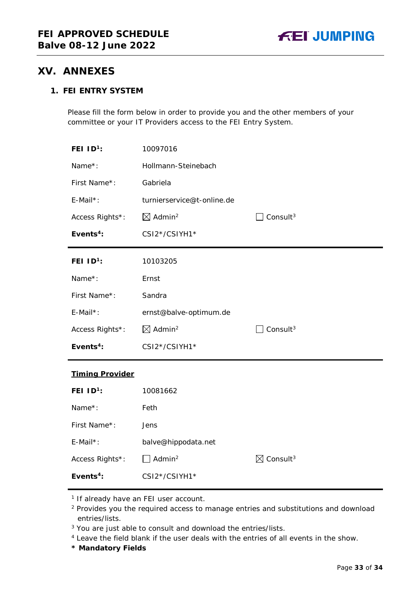# <span id="page-32-0"></span>**XV. ANNEXES**

# **1. FEI ENTRY SYSTEM**

Please fill the form below in order to provide you and the other members of your committee or your IT Providers access to the FEI Entry System.

| FEI $ID^1$ :               | 10097016                       |                                  |
|----------------------------|--------------------------------|----------------------------------|
| Name*:                     | Hollmann-Steinebach            |                                  |
| First Name*:               | Gabriela                       |                                  |
| E-Mail*:                   | turnierservice@t-online.de     |                                  |
| Access Rights*:            | $\boxtimes$ Admin <sup>2</sup> | Consult $3$                      |
| Events <sup>4</sup> :      | CSI2*/CSIYH1*                  |                                  |
| FEI $ID1$ :                | 10103205                       |                                  |
| Name*:                     | Ernst                          |                                  |
| First Name*:               | Sandra                         |                                  |
| E-Mail*:                   | ernst@balve-optimum.de         |                                  |
| Access Rights*:            | $\boxtimes$ Admin <sup>2</sup> | Consult <sup>3</sup>             |
| Events $4$ :               | CSI2*/CSIYH1*                  |                                  |
| <b>Timing Provider</b>     |                                |                                  |
| <b>FEI ID<sup>1</sup>:</b> | 10081662                       |                                  |
| Name*:                     | Feth                           |                                  |
| First Name*:               | Jens                           |                                  |
| E-Mail*:                   | balve@hippodata.net            |                                  |
| Access Rights*:            | Admin <sup>2</sup>             | $\boxtimes$ Consult <sup>3</sup> |
| Events <sup>4</sup> :      | CSI2*/CSIYH1*                  |                                  |

<sup>1</sup> If already have an FEI user account.

- <sup>2</sup> Provides you the required access to manage entries and substitutions and download entries/lists.
- <sup>3</sup> You are just able to consult and download the entries/lists.
- <sup>4</sup> Leave the field blank if the user deals with the entries of all events in the show.
- **\* Mandatory Fields**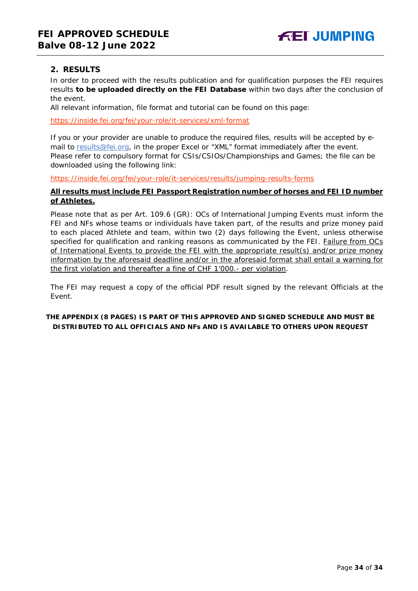# **2. RESULTS**

In order to proceed with the results publication and for qualification purposes the FEI requires results **to be uploaded directly on the FEI Database** within two days after the conclusion of the event.

All relevant information, file format and tutorial can be found on this page:

<https://inside.fei.org/fei/your-role/it-services/xml-format>

If you or your provider are unable to produce the required files, results will be accepted by email to [results@fei.org,](mailto:results@fei.org) in the proper Excel or "XML" format immediately after the event. Please refer to compulsory format for CSIs/CSIOs/Championships and Games; the file can be downloaded using the following link:

<https://inside.fei.org/fei/your-role/it-services/results/jumping-results-forms>

### **All results must include FEI Passport Registration number of horses and FEI ID number of Athletes.**

Please note that as per Art. 109.6 (GR): OCs of International Jumping Events must inform the FEI and NFs whose teams or individuals have taken part, of the results and prize money paid to each placed Athlete and team, within two (2) days following the Event, unless otherwise specified for qualification and ranking reasons as communicated by the FEI. Failure from OCs of International Events to provide the FEI with the appropriate result(s) and/or prize money information by the aforesaid deadline and/or in the aforesaid format shall entail a warning for the first violation and thereafter a fine of CHF 1'000.- per violation.

The FEI may request a copy of the official PDF result signed by the relevant Officials at the Event.

# **THE APPENDIX (8 PAGES) IS PART OF THIS APPROVED AND SIGNED SCHEDULE AND MUST BE DISTRIBUTED TO ALL OFFICIALS AND NFs AND IS AVAILABLE TO OTHERS UPON REQUEST**